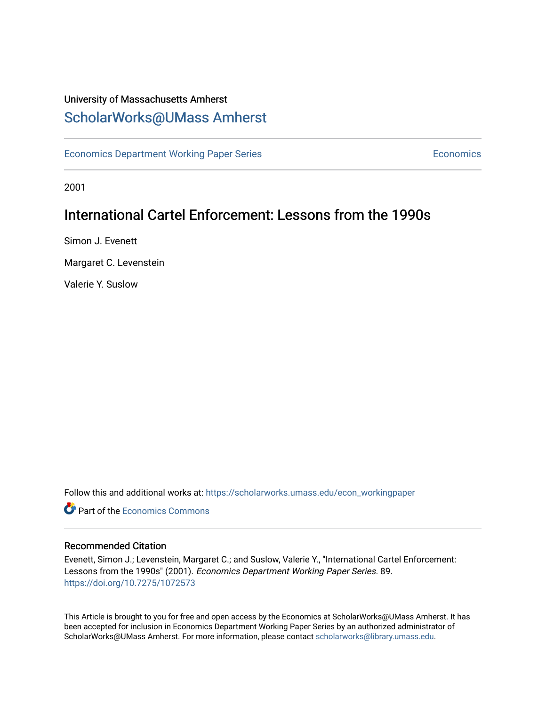# University of Massachusetts Amherst [ScholarWorks@UMass Amherst](https://scholarworks.umass.edu/)

[Economics Department Working Paper Series](https://scholarworks.umass.edu/econ_workingpaper) **Economics** Economics

2001

# International Cartel Enforcement: Lessons from the 1990s

Simon J. Evenett

Margaret C. Levenstein

Valerie Y. Suslow

Follow this and additional works at: [https://scholarworks.umass.edu/econ\\_workingpaper](https://scholarworks.umass.edu/econ_workingpaper?utm_source=scholarworks.umass.edu%2Fecon_workingpaper%2F89&utm_medium=PDF&utm_campaign=PDFCoverPages) 

**C** Part of the [Economics Commons](http://network.bepress.com/hgg/discipline/340?utm_source=scholarworks.umass.edu%2Fecon_workingpaper%2F89&utm_medium=PDF&utm_campaign=PDFCoverPages)

#### Recommended Citation

Evenett, Simon J.; Levenstein, Margaret C.; and Suslow, Valerie Y., "International Cartel Enforcement: Lessons from the 1990s" (2001). Economics Department Working Paper Series. 89. <https://doi.org/10.7275/1072573>

This Article is brought to you for free and open access by the Economics at ScholarWorks@UMass Amherst. It has been accepted for inclusion in Economics Department Working Paper Series by an authorized administrator of ScholarWorks@UMass Amherst. For more information, please contact [scholarworks@library.umass.edu.](mailto:scholarworks@library.umass.edu)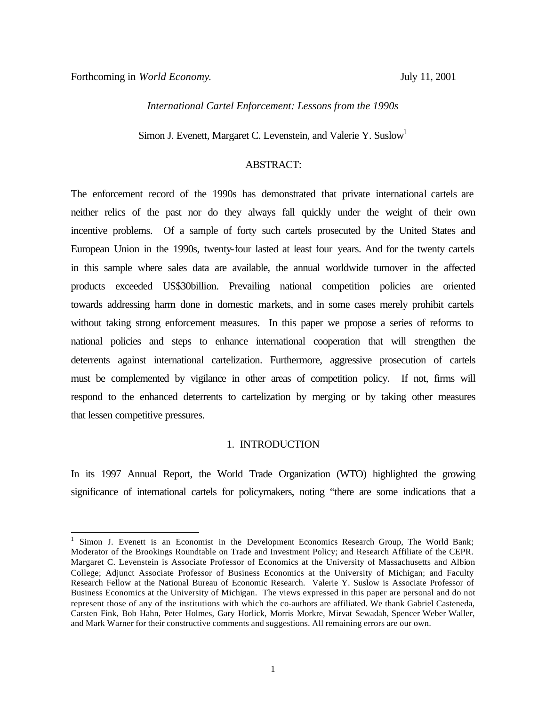Forthcoming in *World Economy*. July 11, 2001

l

*International Cartel Enforcement: Lessons from the 1990s*

Simon J. Evenett, Margaret C. Levenstein, and Valerie Y. Suslow<sup>1</sup>

#### ABSTRACT:

The enforcement record of the 1990s has demonstrated that private international cartels are neither relics of the past nor do they always fall quickly under the weight of their own incentive problems. Of a sample of forty such cartels prosecuted by the United States and European Union in the 1990s, twenty-four lasted at least four years. And for the twenty cartels in this sample where sales data are available, the annual worldwide turnover in the affected products exceeded US\$30billion. Prevailing national competition policies are oriented towards addressing harm done in domestic markets, and in some cases merely prohibit cartels without taking strong enforcement measures. In this paper we propose a series of reforms to national policies and steps to enhance international cooperation that will strengthen the deterrents against international cartelization. Furthermore, aggressive prosecution of cartels must be complemented by vigilance in other areas of competition policy. If not, firms will respond to the enhanced deterrents to cartelization by merging or by taking other measures that lessen competitive pressures.

#### 1. INTRODUCTION

In its 1997 Annual Report, the World Trade Organization (WTO) highlighted the growing significance of international cartels for policymakers, noting "there are some indications that a

<sup>1</sup> Simon J. Evenett is an Economist in the Development Economics Research Group, The World Bank; Moderator of the Brookings Roundtable on Trade and Investment Policy; and Research Affiliate of the CEPR. Margaret C. Levenstein is Associate Professor of Economics at the University of Massachusetts and Albion College; Adjunct Associate Professor of Business Economics at the University of Michigan; and Faculty Research Fellow at the National Bureau of Economic Research. Valerie Y. Suslow is Associate Professor of Business Economics at the University of Michigan. The views expressed in this paper are personal and do not represent those of any of the institutions with which the co-authors are affiliated. We thank Gabriel Casteneda, Carsten Fink, Bob Hahn, Peter Holmes, Gary Horlick, Morris Morkre, Mirvat Sewadah, Spencer Weber Waller, and Mark Warner for their constructive comments and suggestions. All remaining errors are our own.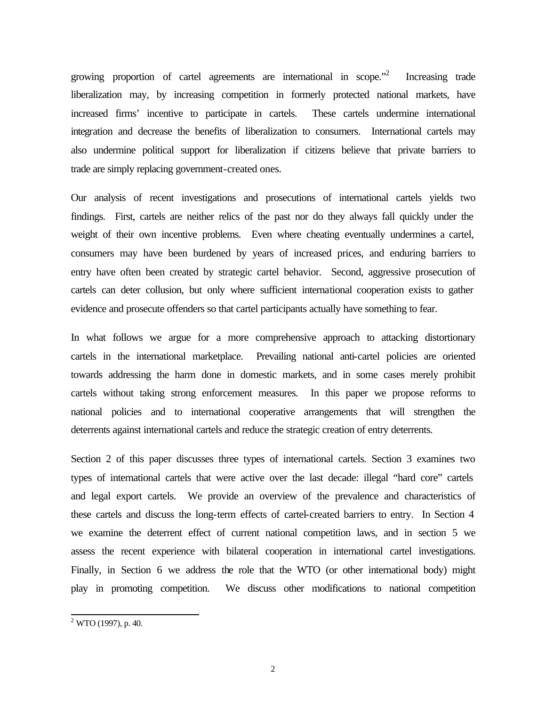growing proportion of cartel agreements are international in scope.<sup>"2</sup> Increasing trade liberalization may, by increasing competition in formerly protected national markets, have increased firms' incentive to participate in cartels. These cartels undermine international integration and decrease the benefits of liberalization to consumers. International cartels may also undermine political support for liberalization if citizens believe that private barriers to trade are simply replacing government-created ones.

Our analysis of recent investigations and prosecutions of international cartels yields two findings. First, cartels are neither relics of the past nor do they always fall quickly under the weight of their own incentive problems. Even where cheating eventually undermines a cartel, consumers may have been burdened by years of increased prices, and enduring barriers to entry have often been created by strategic cartel behavior. Second, aggressive prosecution of cartels can deter collusion, but only where sufficient international cooperation exists to gather evidence and prosecute offenders so that cartel participants actually have something to fear.

In what follows we argue for a more comprehensive approach to attacking distortionary cartels in the international marketplace. Prevailing national anti-cartel policies are oriented towards addressing the harm done in domestic markets, and in some cases merely prohibit cartels without taking strong enforcement measures. In this paper we propose reforms to national policies and to international cooperative arrangements that will strengthen the deterrents against international cartels and reduce the strategic creation of entry deterrents.

Section 2 of this paper discusses three types of international cartels. Section 3 examines two types of international cartels that were active over the last decade: illegal "hard core" cartels and legal export cartels. We provide an overview of the prevalence and characteristics of these cartels and discuss the long-term effects of cartel-created barriers to entry. In Section 4 we examine the deterrent effect of current national competition laws, and in section 5 we assess the recent experience with bilateral cooperation in international cartel investigations. Finally, in Section 6 we address the role that the WTO (or other international body) might play in promoting competition. We discuss other modifications to national competition

 $2$  WTO (1997), p. 40.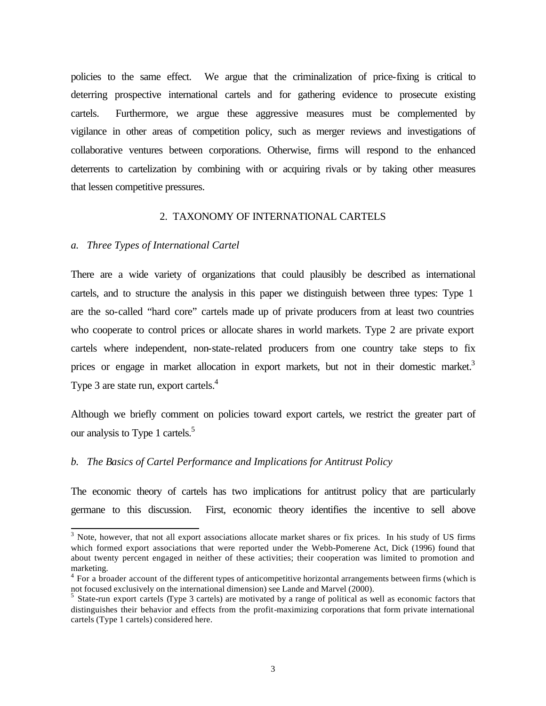policies to the same effect. We argue that the criminalization of price-fixing is critical to deterring prospective international cartels and for gathering evidence to prosecute existing cartels. Furthermore, we argue these aggressive measures must be complemented by vigilance in other areas of competition policy, such as merger reviews and investigations of collaborative ventures between corporations. Otherwise, firms will respond to the enhanced deterrents to cartelization by combining with or acquiring rivals or by taking other measures that lessen competitive pressures.

#### 2. TAXONOMY OF INTERNATIONAL CARTELS

#### *a. Three Types of International Cartel*

l

There are a wide variety of organizations that could plausibly be described as international cartels, and to structure the analysis in this paper we distinguish between three types: Type 1 are the so-called "hard core" cartels made up of private producers from at least two countries who cooperate to control prices or allocate shares in world markets. Type 2 are private export cartels where independent, non-state-related producers from one country take steps to fix prices or engage in market allocation in export markets, but not in their domestic market.<sup>3</sup> Type 3 are state run, export cartels.<sup>4</sup>

Although we briefly comment on policies toward export cartels, we restrict the greater part of our analysis to Type 1 cartels.<sup>5</sup>

#### *b. The Basics of Cartel Performance and Implications for Antitrust Policy*

The economic theory of cartels has two implications for antitrust policy that are particularly germane to this discussion. First, economic theory identifies the incentive to sell above

 $3$  Note, however, that not all export associations allocate market shares or fix prices. In his study of US firms which formed export associations that were reported under the Webb-Pomerene Act, Dick (1996) found that about twenty percent engaged in neither of these activities; their cooperation was limited to promotion and marketing.

<sup>&</sup>lt;sup>4</sup> For a broader account of the different types of anticompetitive horizontal arrangements between firms (which is not focused exclusively on the international dimension) see Lande and Marvel (2000).

<sup>&</sup>lt;sup>5</sup> State-run export cartels (Type 3 cartels) are motivated by a range of political as well as economic factors that distinguishes their behavior and effects from the profit-maximizing corporations that form private international cartels (Type 1 cartels) considered here.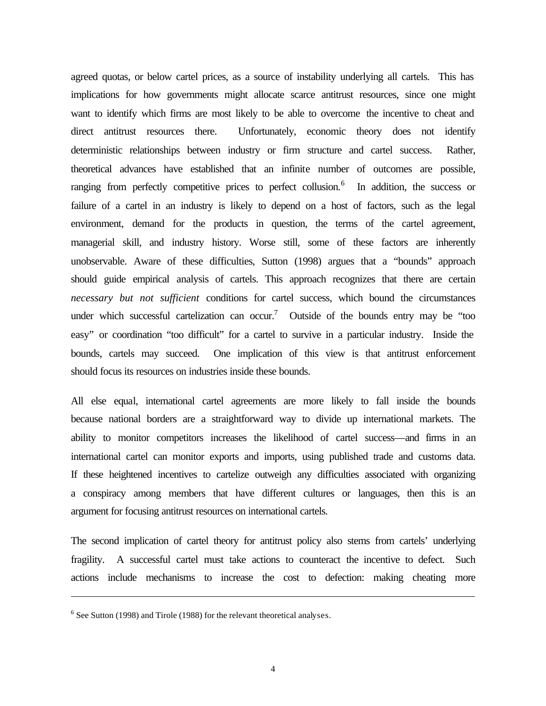agreed quotas, or below cartel prices, as a source of instability underlying all cartels. This has implications for how governments might allocate scarce antitrust resources, since one might want to identify which firms are most likely to be able to overcome the incentive to cheat and direct antitrust resources there. Unfortunately, economic theory does not identify deterministic relationships between industry or firm structure and cartel success. Rather, theoretical advances have established that an infinite number of outcomes are possible, ranging from perfectly competitive prices to perfect collusion.<sup>6</sup> In addition, the success or failure of a cartel in an industry is likely to depend on a host of factors, such as the legal environment, demand for the products in question, the terms of the cartel agreement, managerial skill, and industry history. Worse still, some of these factors are inherently unobservable. Aware of these difficulties, Sutton (1998) argues that a "bounds" approach should guide empirical analysis of cartels. This approach recognizes that there are certain *necessary but not sufficient* conditions for cartel success, which bound the circumstances under which successful cartelization can occur.<sup>7</sup> Outside of the bounds entry may be "too easy" or coordination "too difficult" for a cartel to survive in a particular industry. Inside the bounds, cartels may succeed. One implication of this view is that antitrust enforcement should focus its resources on industries inside these bounds.

All else equal, international cartel agreements are more likely to fall inside the bounds because national borders are a straightforward way to divide up international markets. The ability to monitor competitors increases the likelihood of cartel success—and firms in an international cartel can monitor exports and imports, using published trade and customs data. If these heightened incentives to cartelize outweigh any difficulties associated with organizing a conspiracy among members that have different cultures or languages, then this is an argument for focusing antitrust resources on international cartels.

The second implication of cartel theory for antitrust policy also stems from cartels' underlying fragility. A successful cartel must take actions to counteract the incentive to defect. Such actions include mechanisms to increase the cost to defection: making cheating more

 $<sup>6</sup>$  See Sutton (1998) and Tirole (1988) for the relevant theoretical analyses.</sup>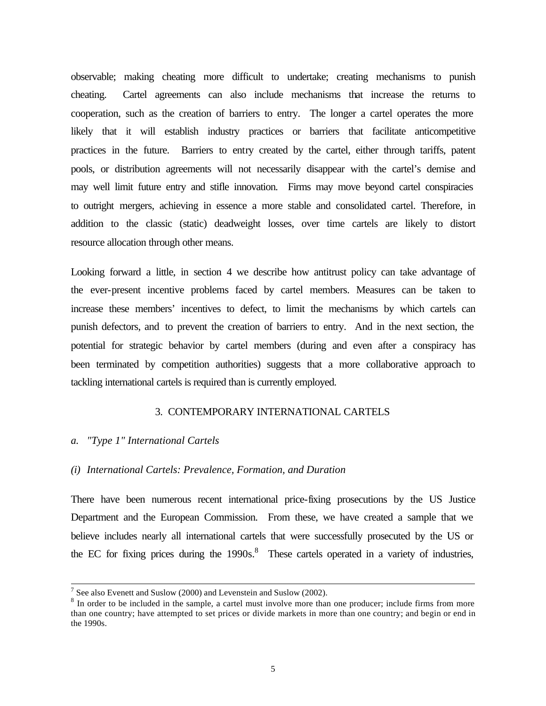observable; making cheating more difficult to undertake; creating mechanisms to punish cheating. Cartel agreements can also include mechanisms that increase the returns to cooperation, such as the creation of barriers to entry. The longer a cartel operates the more likely that it will establish industry practices or barriers that facilitate anticompetitive practices in the future. Barriers to entry created by the cartel, either through tariffs, patent pools, or distribution agreements will not necessarily disappear with the cartel's demise and may well limit future entry and stifle innovation. Firms may move beyond cartel conspiracies to outright mergers, achieving in essence a more stable and consolidated cartel. Therefore, in addition to the classic (static) deadweight losses, over time cartels are likely to distort resource allocation through other means.

Looking forward a little, in section 4 we describe how antitrust policy can take advantage of the ever-present incentive problems faced by cartel members. Measures can be taken to increase these members' incentives to defect, to limit the mechanisms by which cartels can punish defectors, and to prevent the creation of barriers to entry. And in the next section, the potential for strategic behavior by cartel members (during and even after a conspiracy has been terminated by competition authorities) suggests that a more collaborative approach to tackling international cartels is required than is currently employed.

## 3. CONTEMPORARY INTERNATIONAL CARTELS

## *a. "Type 1" International Cartels*

#### *(i) International Cartels: Prevalence, Formation, and Duration*

There have been numerous recent international price-fixing prosecutions by the US Justice Department and the European Commission. From these, we have created a sample that we believe includes nearly all international cartels that were successfully prosecuted by the US or the EC for fixing prices during the  $1990s$ .<sup>8</sup> These cartels operated in a variety of industries,

<sup>&</sup>lt;sup>7</sup> See also Evenett and Suslow (2000) and Levenstein and Suslow (2002).

<sup>&</sup>lt;sup>8</sup> In order to be included in the sample, a cartel must involve more than one producer; include firms from more than one country; have attempted to set prices or divide markets in more than one country; and begin or end in the 1990s.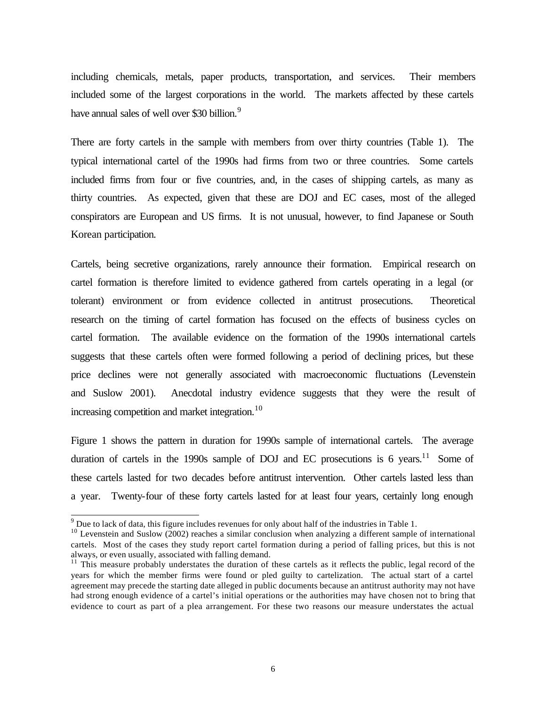including chemicals, metals, paper products, transportation, and services. Their members included some of the largest corporations in the world. The markets affected by these cartels have annual sales of well over \$30 billion.<sup>9</sup>

There are forty cartels in the sample with members from over thirty countries (Table 1). The typical international cartel of the 1990s had firms from two or three countries. Some cartels included firms from four or five countries, and, in the cases of shipping cartels, as many as thirty countries. As expected, given that these are DOJ and EC cases, most of the alleged conspirators are European and US firms. It is not unusual, however, to find Japanese or South Korean participation.

Cartels, being secretive organizations, rarely announce their formation. Empirical research on cartel formation is therefore limited to evidence gathered from cartels operating in a legal (or tolerant) environment or from evidence collected in antitrust prosecutions. Theoretical research on the timing of cartel formation has focused on the effects of business cycles on cartel formation. The available evidence on the formation of the 1990s international cartels suggests that these cartels often were formed following a period of declining prices, but these price declines were not generally associated with macroeconomic fluctuations (Levenstein and Suslow 2001). Anecdotal industry evidence suggests that they were the result of increasing competition and market integration.<sup>10</sup>

Figure 1 shows the pattern in duration for 1990s sample of international cartels. The average duration of cartels in the 1990s sample of DOJ and EC prosecutions is 6 years.<sup>11</sup> Some of these cartels lasted for two decades before antitrust intervention. Other cartels lasted less than a year. Twenty-four of these forty cartels lasted for at least four years, certainly long enough

 9 Due to lack of data, this figure includes revenues for only about half of the industries in Table 1.

 $10$  Levenstein and Suslow (2002) reaches a similar conclusion when analyzing a different sample of international cartels. Most of the cases they study report cartel formation during a period of falling prices, but this is not always, or even usually, associated with falling demand.

<sup>&</sup>lt;sup>11</sup> This measure probably understates the duration of these cartels as it reflects the public, legal record of the years for which the member firms were found or pled guilty to cartelization. The actual start of a cartel agreement may precede the starting date alleged in public documents because an antitrust authority may not have had strong enough evidence of a cartel's initial operations or the authorities may have chosen not to bring that evidence to court as part of a plea arrangement. For these two reasons our measure understates the actual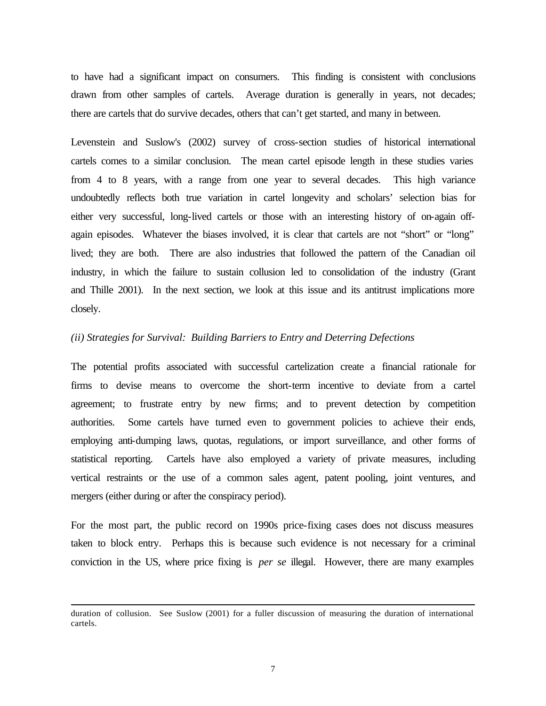to have had a significant impact on consumers. This finding is consistent with conclusions drawn from other samples of cartels. Average duration is generally in years, not decades; there are cartels that do survive decades, others that can't get started, and many in between.

Levenstein and Suslow's (2002) survey of cross-section studies of historical international cartels comes to a similar conclusion. The mean cartel episode length in these studies varies from 4 to 8 years, with a range from one year to several decades. This high variance undoubtedly reflects both true variation in cartel longevity and scholars' selection bias for either very successful, long-lived cartels or those with an interesting history of on-again offagain episodes. Whatever the biases involved, it is clear that cartels are not "short" or "long" lived; they are both. There are also industries that followed the pattern of the Canadian oil industry, in which the failure to sustain collusion led to consolidation of the industry (Grant and Thille 2001). In the next section, we look at this issue and its antitrust implications more closely.

## *(ii) Strategies for Survival: Building Barriers to Entry and Deterring Defections*

The potential profits associated with successful cartelization create a financial rationale for firms to devise means to overcome the short-term incentive to deviate from a cartel agreement; to frustrate entry by new firms; and to prevent detection by competition authorities. Some cartels have turned even to government policies to achieve their ends, employing anti-dumping laws, quotas, regulations, or import surveillance, and other forms of statistical reporting. Cartels have also employed a variety of private measures, including vertical restraints or the use of a common sales agent, patent pooling, joint ventures, and mergers (either during or after the conspiracy period).

For the most part, the public record on 1990s price-fixing cases does not discuss measures taken to block entry. Perhaps this is because such evidence is not necessary for a criminal conviction in the US, where price fixing is *per se* illegal. However, there are many examples

duration of collusion. See Suslow (2001) for a fuller discussion of measuring the duration of international cartels.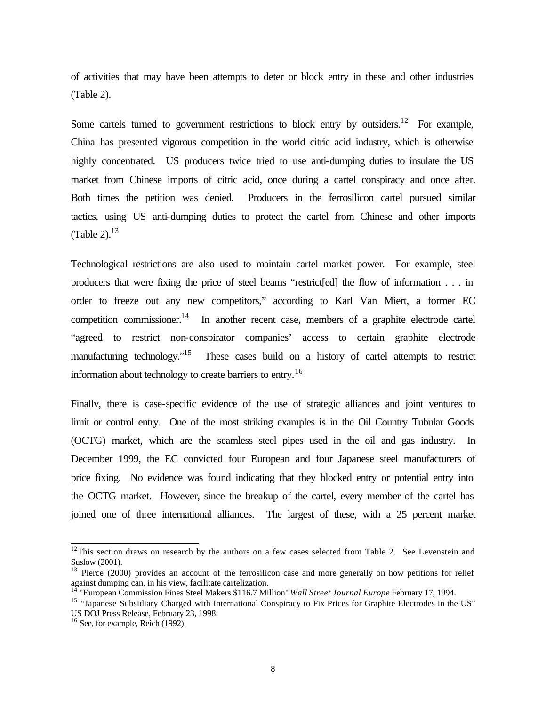of activities that may have been attempts to deter or block entry in these and other industries (Table 2).

Some cartels turned to government restrictions to block entry by outsiders.<sup>12</sup> For example, China has presented vigorous competition in the world citric acid industry, which is otherwise highly concentrated. US producers twice tried to use anti-dumping duties to insulate the US market from Chinese imports of citric acid, once during a cartel conspiracy and once after. Both times the petition was denied. Producers in the ferrosilicon cartel pursued similar tactics, using US anti-dumping duties to protect the cartel from Chinese and other imports (Table 2). $13$ 

Technological restrictions are also used to maintain cartel market power. For example, steel producers that were fixing the price of steel beams "restrict[ed] the flow of information . . . in order to freeze out any new competitors," according to Karl Van Miert, a former EC competition commissioner.<sup>14</sup> In another recent case, members of a graphite electrode cartel "agreed to restrict non-conspirator companies' access to certain graphite electrode manufacturing technology."<sup>15</sup> These cases build on a history of cartel attempts to restrict information about technology to create barriers to entry.<sup>16</sup>

Finally, there is case-specific evidence of the use of strategic alliances and joint ventures to limit or control entry. One of the most striking examples is in the Oil Country Tubular Goods (OCTG) market, which are the seamless steel pipes used in the oil and gas industry. In December 1999, the EC convicted four European and four Japanese steel manufacturers of price fixing. No evidence was found indicating that they blocked entry or potential entry into the OCTG market. However, since the breakup of the cartel, every member of the cartel has joined one of three international alliances. The largest of these, with a 25 percent market

 $12$ This section draws on research by the authors on a few cases selected from Table 2. See Levenstein and Suslow (2001).

 $13$  Pierce (2000) provides an account of the ferrosilicon case and more generally on how petitions for relief against dumping can, in his view, facilitate cartelization.

<sup>14</sup> "European Commission Fines Steel Makers \$116.7 Million" *Wall Street Journal Europe* February 17, 1994.

<sup>&</sup>lt;sup>15</sup> "Japanese Subsidiary Charged with International Conspiracy to Fix Prices for Graphite Electrodes in the US" US DOJ Press Release, February 23, 1998.

 $16$  See, for example, Reich (1992).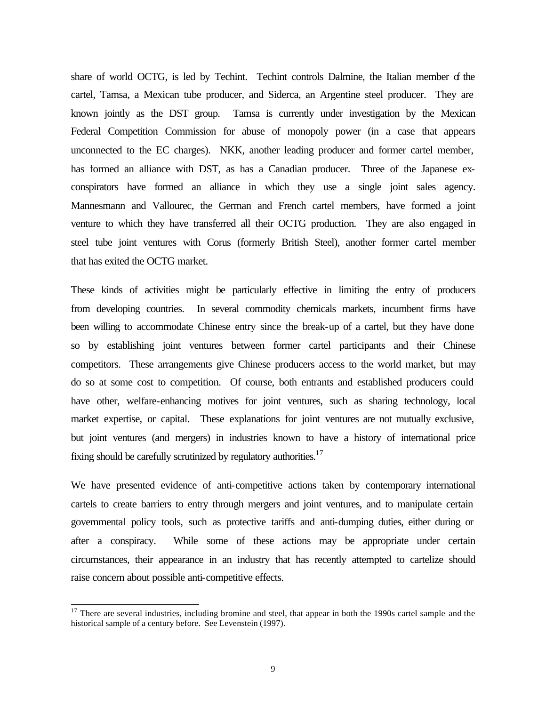share of world OCTG, is led by Techint. Techint controls Dalmine, the Italian member of the cartel, Tamsa, a Mexican tube producer, and Siderca, an Argentine steel producer. They are known jointly as the DST group. Tamsa is currently under investigation by the Mexican Federal Competition Commission for abuse of monopoly power (in a case that appears unconnected to the EC charges). NKK, another leading producer and former cartel member, has formed an alliance with DST, as has a Canadian producer. Three of the Japanese exconspirators have formed an alliance in which they use a single joint sales agency. Mannesmann and Vallourec, the German and French cartel members, have formed a joint venture to which they have transferred all their OCTG production. They are also engaged in steel tube joint ventures with Corus (formerly British Steel), another former cartel member that has exited the OCTG market.

These kinds of activities might be particularly effective in limiting the entry of producers from developing countries. In several commodity chemicals markets, incumbent firms have been willing to accommodate Chinese entry since the break-up of a cartel, but they have done so by establishing joint ventures between former cartel participants and their Chinese competitors. These arrangements give Chinese producers access to the world market, but may do so at some cost to competition. Of course, both entrants and established producers could have other, welfare-enhancing motives for joint ventures, such as sharing technology, local market expertise, or capital. These explanations for joint ventures are not mutually exclusive, but joint ventures (and mergers) in industries known to have a history of international price fixing should be carefully scrutinized by regulatory authorities.<sup>17</sup>

We have presented evidence of anti-competitive actions taken by contemporary international cartels to create barriers to entry through mergers and joint ventures, and to manipulate certain governmental policy tools, such as protective tariffs and anti-dumping duties, either during or after a conspiracy. While some of these actions may be appropriate under certain circumstances, their appearance in an industry that has recently attempted to cartelize should raise concern about possible anti-competitive effects.

 $17$  There are several industries, including bromine and steel, that appear in both the 1990s cartel sample and the historical sample of a century before. See Levenstein (1997).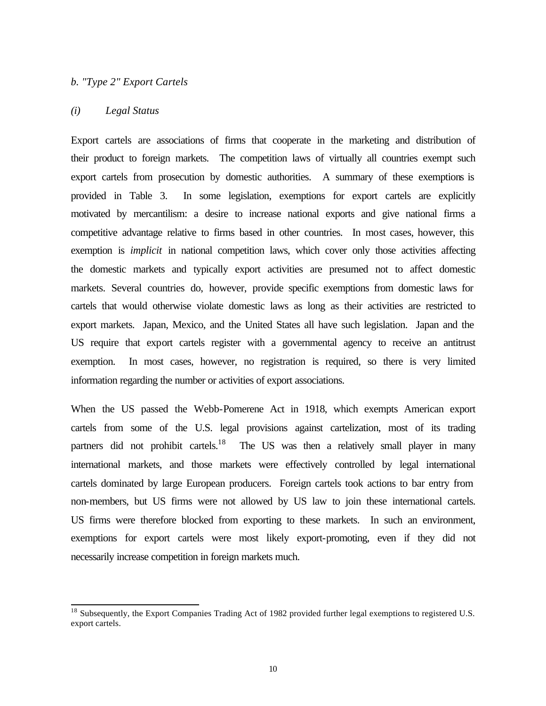## *b. "Type 2" Export Cartels*

#### *(i) Legal Status*

l

Export cartels are associations of firms that cooperate in the marketing and distribution of their product to foreign markets. The competition laws of virtually all countries exempt such export cartels from prosecution by domestic authorities. A summary of these exemptions is provided in Table 3. In some legislation, exemptions for export cartels are explicitly motivated by mercantilism: a desire to increase national exports and give national firms a competitive advantage relative to firms based in other countries. In most cases, however, this exemption is *implicit* in national competition laws, which cover only those activities affecting the domestic markets and typically export activities are presumed not to affect domestic markets. Several countries do, however, provide specific exemptions from domestic laws for cartels that would otherwise violate domestic laws as long as their activities are restricted to export markets. Japan, Mexico, and the United States all have such legislation. Japan and the US require that export cartels register with a governmental agency to receive an antitrust exemption. In most cases, however, no registration is required, so there is very limited information regarding the number or activities of export associations.

When the US passed the Webb-Pomerene Act in 1918, which exempts American export cartels from some of the U.S. legal provisions against cartelization, most of its trading partners did not prohibit cartels.<sup>18</sup> The US was then a relatively small player in many international markets, and those markets were effectively controlled by legal international cartels dominated by large European producers. Foreign cartels took actions to bar entry from non-members, but US firms were not allowed by US law to join these international cartels. US firms were therefore blocked from exporting to these markets. In such an environment, exemptions for export cartels were most likely export-promoting, even if they did not necessarily increase competition in foreign markets much.

<sup>&</sup>lt;sup>18</sup> Subsequently, the Export Companies Trading Act of 1982 provided further legal exemptions to registered U.S. export cartels.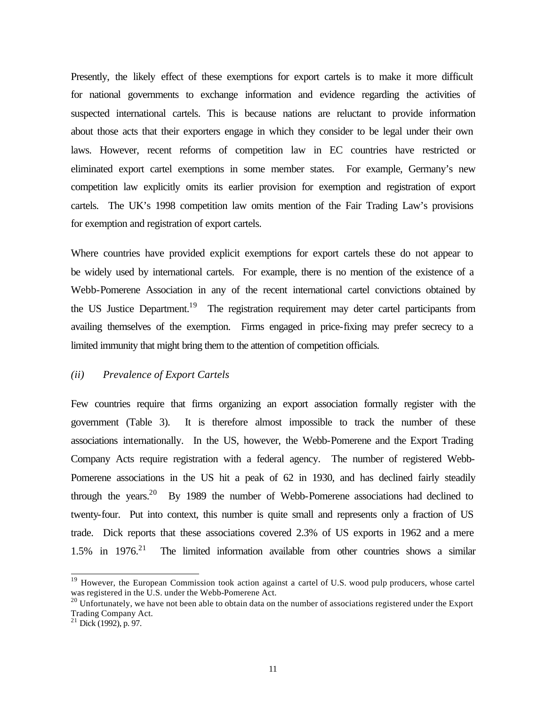Presently, the likely effect of these exemptions for export cartels is to make it more difficult for national governments to exchange information and evidence regarding the activities of suspected international cartels. This is because nations are reluctant to provide information about those acts that their exporters engage in which they consider to be legal under their own laws. However, recent reforms of competition law in EC countries have restricted or eliminated export cartel exemptions in some member states. For example, Germany's new competition law explicitly omits its earlier provision for exemption and registration of export cartels. The UK's 1998 competition law omits mention of the Fair Trading Law's provisions for exemption and registration of export cartels.

Where countries have provided explicit exemptions for export cartels these do not appear to be widely used by international cartels. For example, there is no mention of the existence of a Webb-Pomerene Association in any of the recent international cartel convictions obtained by the US Justice Department.<sup>19</sup> The registration requirement may deter cartel participants from availing themselves of the exemption. Firms engaged in price-fixing may prefer secrecy to a limited immunity that might bring them to the attention of competition officials.

#### *(ii) Prevalence of Export Cartels*

Few countries require that firms organizing an export association formally register with the government (Table 3). It is therefore almost impossible to track the number of these associations internationally. In the US, however, the Webb-Pomerene and the Export Trading Company Acts require registration with a federal agency. The number of registered Webb-Pomerene associations in the US hit a peak of 62 in 1930, and has declined fairly steadily through the years.<sup>20</sup> By 1989 the number of Webb-Pomerene associations had declined to twenty-four. Put into context, this number is quite small and represents only a fraction of US trade. Dick reports that these associations covered 2.3% of US exports in 1962 and a mere 1.5% in  $1976<sup>21</sup>$  The limited information available from other countries shows a similar

<sup>&</sup>lt;sup>19</sup> However, the European Commission took action against a cartel of U.S. wood pulp producers, whose cartel was registered in the U.S. under the Webb-Pomerene Act.

<sup>&</sup>lt;sup>20</sup> Unfortunately, we have not been able to obtain data on the number of associations registered under the Export Trading Company Act.

 $21$  Dick (1992), p. 97.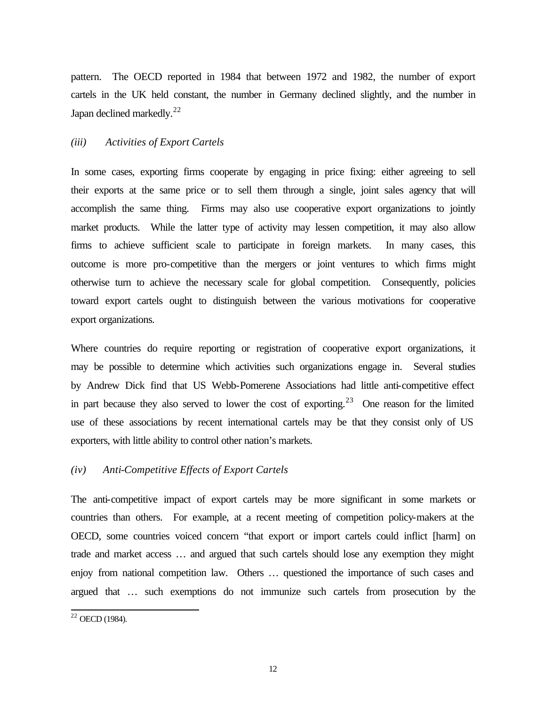pattern. The OECD reported in 1984 that between 1972 and 1982, the number of export cartels in the UK held constant, the number in Germany declined slightly, and the number in Japan declined markedly.<sup>22</sup>

## *(iii) Activities of Export Cartels*

In some cases, exporting firms cooperate by engaging in price fixing: either agreeing to sell their exports at the same price or to sell them through a single, joint sales agency that will accomplish the same thing. Firms may also use cooperative export organizations to jointly market products. While the latter type of activity may lessen competition, it may also allow firms to achieve sufficient scale to participate in foreign markets. In many cases, this outcome is more pro-competitive than the mergers or joint ventures to which firms might otherwise turn to achieve the necessary scale for global competition. Consequently, policies toward export cartels ought to distinguish between the various motivations for cooperative export organizations.

Where countries do require reporting or registration of cooperative export organizations, it may be possible to determine which activities such organizations engage in. Several studies by Andrew Dick find that US Webb-Pomerene Associations had little anti-competitive effect in part because they also served to lower the cost of exporting.<sup>23</sup> One reason for the limited use of these associations by recent international cartels may be that they consist only of US exporters, with little ability to control other nation's markets.

## *(iv) Anti-Competitive Effects of Export Cartels*

The anti-competitive impact of export cartels may be more significant in some markets or countries than others. For example, at a recent meeting of competition policy-makers at the OECD, some countries voiced concern "that export or import cartels could inflict [harm] on trade and market access … and argued that such cartels should lose any exemption they might enjoy from national competition law. Others … questioned the importance of such cases and argued that … such exemptions do not immunize such cartels from prosecution by the

l  $22$  OECD (1984).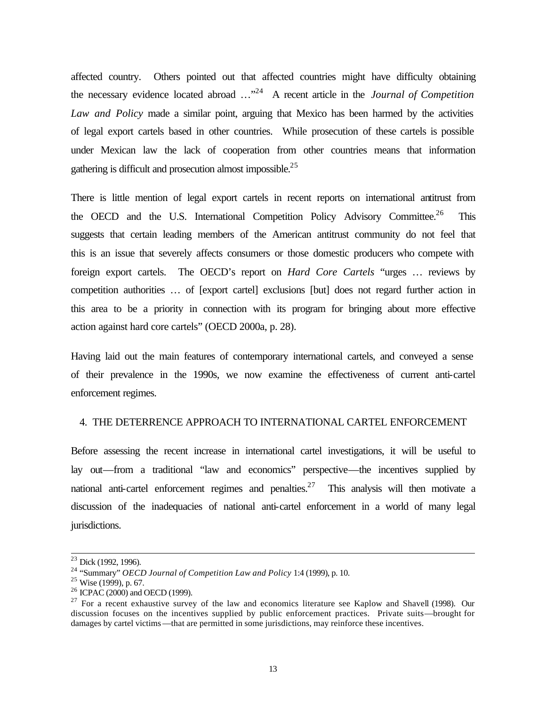affected country. Others pointed out that affected countries might have difficulty obtaining the necessary evidence located abroad …"<sup>24</sup> A recent article in the *Journal of Competition Law and Policy* made a similar point, arguing that Mexico has been harmed by the activities of legal export cartels based in other countries. While prosecution of these cartels is possible under Mexican law the lack of cooperation from other countries means that information gathering is difficult and prosecution almost impossible.<sup>25</sup>

There is little mention of legal export cartels in recent reports on international antitrust from the OECD and the U.S. International Competition Policy Advisory Committee.<sup>26</sup> This suggests that certain leading members of the American antitrust community do not feel that this is an issue that severely affects consumers or those domestic producers who compete with foreign export cartels. The OECD's report on *Hard Core Cartels* "urges … reviews by competition authorities … of [export cartel] exclusions [but] does not regard further action in this area to be a priority in connection with its program for bringing about more effective action against hard core cartels" (OECD 2000a, p. 28).

Having laid out the main features of contemporary international cartels, and conveyed a sense of their prevalence in the 1990s, we now examine the effectiveness of current anti-cartel enforcement regimes.

#### 4. THE DETERRENCE APPROACH TO INTERNATIONAL CARTEL ENFORCEMENT

Before assessing the recent increase in international cartel investigations, it will be useful to lay out—from a traditional "law and economics" perspective—the incentives supplied by national anti-cartel enforcement regimes and penalties.<sup>27</sup> This analysis will then motivate a discussion of the inadequacies of national anti-cartel enforcement in a world of many legal jurisdictions.

<sup>&</sup>lt;sup>23</sup> Dick (1992, 1996).

<sup>24</sup> "Summary" *OECD Journal of Competition Law and Policy* 1:4 (1999), p. 10.

 $25$  Wise (1999), p. 67.

<sup>26</sup> ICPAC (2000) and OECD (1999).

 $27$  For a recent exhaustive survey of the law and economics literature see Kaplow and Shavell (1998). Our discussion focuses on the incentives supplied by public enforcement practices. Private suits—brought for damages by cartel victims—that are permitted in some jurisdictions, may reinforce these incentives.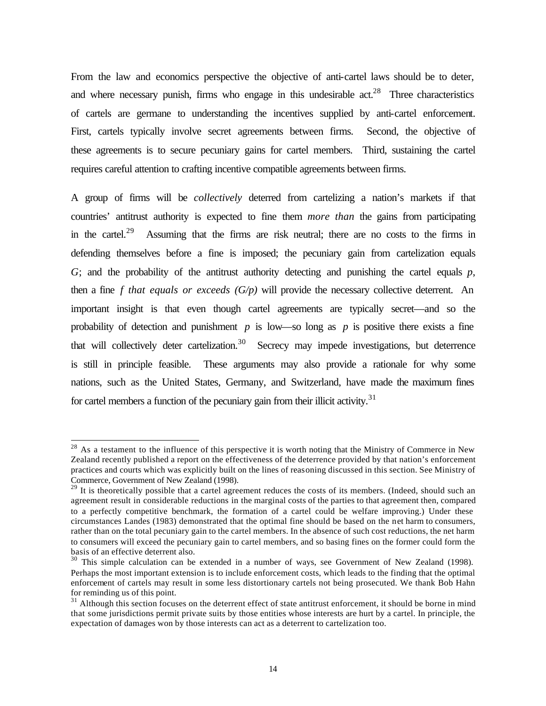From the law and economics perspective the objective of anti-cartel laws should be to deter, and where necessary punish, firms who engage in this undesirable  $act.^{28}$  Three characteristics of cartels are germane to understanding the incentives supplied by anti-cartel enforcement. First, cartels typically involve secret agreements between firms. Second, the objective of these agreements is to secure pecuniary gains for cartel members. Third, sustaining the cartel requires careful attention to crafting incentive compatible agreements between firms.

A group of firms will be *collectively* deterred from cartelizing a nation's markets if that countries' antitrust authority is expected to fine them *more than* the gains from participating in the cartel.<sup>29</sup> Assuming that the firms are risk neutral; there are no costs to the firms in defending themselves before a fine is imposed; the pecuniary gain from cartelization equals *G*; and the probability of the antitrust authority detecting and punishing the cartel equals *p*, then a fine *f that equals or exceeds (G/p)* will provide the necessary collective deterrent. An important insight is that even though cartel agreements are typically secret—and so the probability of detection and punishment  $p$  is low—so long as  $p$  is positive there exists a fine that will collectively deter cartelization.<sup>30</sup> Secrecy may impede investigations, but deterrence is still in principle feasible. These arguments may also provide a rationale for why some nations, such as the United States, Germany, and Switzerland, have made the maximum fines for cartel members a function of the pecuniary gain from their illicit activity.<sup>31</sup>

 $^{28}$  As a testament to the influence of this perspective it is worth noting that the Ministry of Commerce in New Zealand recently published a report on the effectiveness of the deterrence provided by that nation's enforcement practices and courts which was explicitly built on the lines of reasoning discussed in this section. See Ministry of Commerce, Government of New Zealand (1998).

<sup>&</sup>lt;sup>29</sup> It is theoretically possible that a cartel agreement reduces the costs of its members. (Indeed, should such an agreement result in considerable reductions in the marginal costs of the parties to that agreement then, compared to a perfectly competitive benchmark, the formation of a cartel could be welfare improving.) Under these circumstances Landes (1983) demonstrated that the optimal fine should be based on the net harm to consumers, rather than on the total pecuniary gain to the cartel members. In the absence of such cost reductions, the net harm to consumers will exceed the pecuniary gain to cartel members, and so basing fines on the former could form the basis of an effective deterrent also.

<sup>&</sup>lt;sup>30</sup> This simple calculation can be extended in a number of ways, see Government of New Zealand (1998). Perhaps the most important extension is to include enforcement costs, which leads to the finding that the optimal enforcement of cartels may result in some less distortionary cartels not being prosecuted. We thank Bob Hahn for reminding us of this point.

<sup>&</sup>lt;sup>31</sup> Although this section focuses on the deterrent effect of state antitrust enforcement, it should be borne in mind that some jurisdictions permit private suits by those entities whose interests are hurt by a cartel. In principle, the expectation of damages won by those interests can act as a deterrent to cartelization too.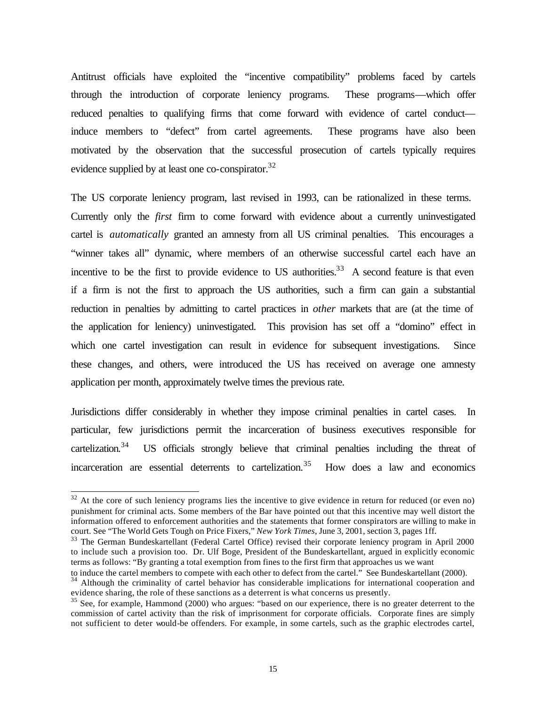Antitrust officials have exploited the "incentive compatibility" problems faced by cartels through the introduction of corporate leniency programs. These programs—which offer reduced penalties to qualifying firms that come forward with evidence of cartel conduct induce members to "defect" from cartel agreements. These programs have also been motivated by the observation that the successful prosecution of cartels typically requires evidence supplied by at least one co-conspirator.<sup>32</sup>

The US corporate leniency program, last revised in 1993, can be rationalized in these terms. Currently only the *first* firm to come forward with evidence about a currently uninvestigated cartel is *automatically* granted an amnesty from all US criminal penalties. This encourages a "winner takes all" dynamic, where members of an otherwise successful cartel each have an incentive to be the first to provide evidence to US authorities.<sup>33</sup> A second feature is that even if a firm is not the first to approach the US authorities, such a firm can gain a substantial reduction in penalties by admitting to cartel practices in *other* markets that are (at the time of the application for leniency) uninvestigated. This provision has set off a "domino" effect in which one cartel investigation can result in evidence for subsequent investigations. Since these changes, and others, were introduced the US has received on average one amnesty application per month, approximately twelve times the previous rate.

Jurisdictions differ considerably in whether they impose criminal penalties in cartel cases. In particular, few jurisdictions permit the incarceration of business executives responsible for cartelization.<sup>34</sup> US officials strongly believe that criminal penalties including the threat of incarceration are essential deterrents to cartelization.<sup>35</sup> How does a law and economics

 $32$  At the core of such leniency programs lies the incentive to give evidence in return for reduced (or even no) punishment for criminal acts. Some members of the Bar have pointed out that this incentive may well distort the information offered to enforcement authorities and the statements that former conspirators are willing to make in court. See "The World Gets Tough on Price Fixers," *New York Times*, June 3, 2001, section 3, pages 1ff.

<sup>&</sup>lt;sup>33</sup> The German Bundeskartellant (Federal Cartel Office) revised their corporate leniency program in April 2000 to include such a provision too. Dr. Ulf Boge, President of the Bundeskartellant, argued in explicitly economic terms as follows: "By granting a total exemption from fines to the first firm that approaches us we want

to induce the cartel members to compete with each other to defect from the cartel." See Bundeskartellant (2000). <sup>34</sup> Although the criminality of cartel behavior has considerable implications for international cooperation and evidence sharing, the role of these sanctions as a deterrent is what concerns us presently.

<sup>&</sup>lt;sup>35</sup> See, for example, Hammond (2000) who argues: "based on our experience, there is no greater deterrent to the commission of cartel activity than the risk of imprisonment for corporate officials. Corporate fines are simply not sufficient to deter would-be offenders. For example, in some cartels, such as the graphic electrodes cartel,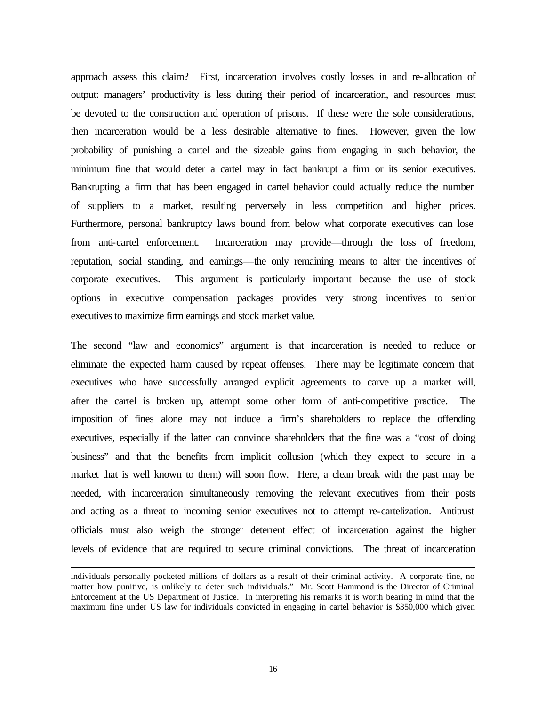approach assess this claim? First, incarceration involves costly losses in and re-allocation of output: managers' productivity is less during their period of incarceration, and resources must be devoted to the construction and operation of prisons. If these were the sole considerations, then incarceration would be a less desirable alternative to fines. However, given the low probability of punishing a cartel and the sizeable gains from engaging in such behavior, the minimum fine that would deter a cartel may in fact bankrupt a firm or its senior executives. Bankrupting a firm that has been engaged in cartel behavior could actually reduce the number of suppliers to a market, resulting perversely in less competition and higher prices. Furthermore, personal bankruptcy laws bound from below what corporate executives can lose from anti-cartel enforcement. Incarceration may provide—through the loss of freedom, reputation, social standing, and earnings—the only remaining means to alter the incentives of corporate executives. This argument is particularly important because the use of stock options in executive compensation packages provides very strong incentives to senior executives to maximize firm earnings and stock market value.

The second "law and economics" argument is that incarceration is needed to reduce or eliminate the expected harm caused by repeat offenses. There may be legitimate concern that executives who have successfully arranged explicit agreements to carve up a market will, after the cartel is broken up, attempt some other form of anti-competitive practice. The imposition of fines alone may not induce a firm's shareholders to replace the offending executives, especially if the latter can convince shareholders that the fine was a "cost of doing business" and that the benefits from implicit collusion (which they expect to secure in a market that is well known to them) will soon flow. Here, a clean break with the past may be needed, with incarceration simultaneously removing the relevant executives from their posts and acting as a threat to incoming senior executives not to attempt re-cartelization. Antitrust officials must also weigh the stronger deterrent effect of incarceration against the higher levels of evidence that are required to secure criminal convictions. The threat of incarceration

individuals personally pocketed millions of dollars as a result of their criminal activity. A corporate fine, no matter how punitive, is unlikely to deter such individuals." Mr. Scott Hammond is the Director of Criminal Enforcement at the US Department of Justice. In interpreting his remarks it is worth bearing in mind that the maximum fine under US law for individuals convicted in engaging in cartel behavior is \$350,000 which given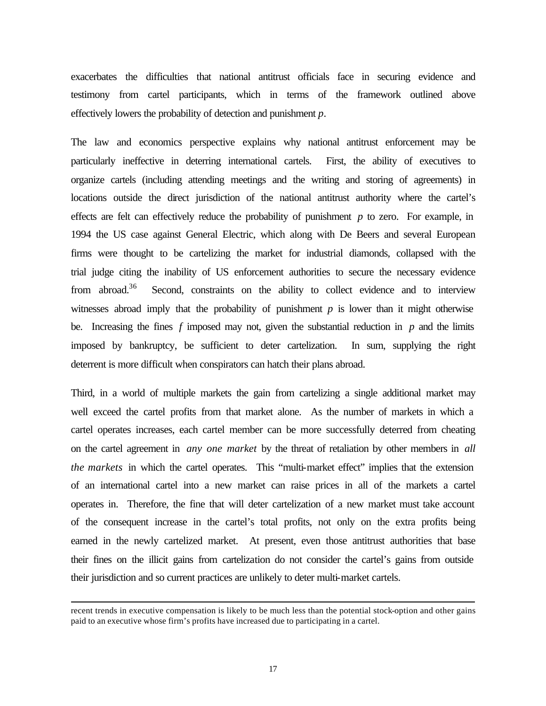exacerbates the difficulties that national antitrust officials face in securing evidence and testimony from cartel participants, which in terms of the framework outlined above effectively lowers the probability of detection and punishment *p*.

The law and economics perspective explains why national antitrust enforcement may be particularly ineffective in deterring international cartels. First, the ability of executives to organize cartels (including attending meetings and the writing and storing of agreements) in locations outside the direct jurisdiction of the national antitrust authority where the cartel's effects are felt can effectively reduce the probability of punishment *p* to zero. For example, in 1994 the US case against General Electric, which along with De Beers and several European firms were thought to be cartelizing the market for industrial diamonds, collapsed with the trial judge citing the inability of US enforcement authorities to secure the necessary evidence from abroad.<sup>36</sup> Second, constraints on the ability to collect evidence and to interview witnesses abroad imply that the probability of punishment  $p$  is lower than it might otherwise be. Increasing the fines *f* imposed may not, given the substantial reduction in *p* and the limits imposed by bankruptcy, be sufficient to deter cartelization. In sum, supplying the right deterrent is more difficult when conspirators can hatch their plans abroad.

Third, in a world of multiple markets the gain from cartelizing a single additional market may well exceed the cartel profits from that market alone. As the number of markets in which a cartel operates increases, each cartel member can be more successfully deterred from cheating on the cartel agreement in *any one market* by the threat of retaliation by other members in *all the markets* in which the cartel operates. This "multi-market effect" implies that the extension of an international cartel into a new market can raise prices in all of the markets a cartel operates in. Therefore, the fine that will deter cartelization of a new market must take account of the consequent increase in the cartel's total profits, not only on the extra profits being earned in the newly cartelized market. At present, even those antitrust authorities that base their fines on the illicit gains from cartelization do not consider the cartel's gains from outside their jurisdiction and so current practices are unlikely to deter multi-market cartels.

recent trends in executive compensation is likely to be much less than the potential stock-option and other gains paid to an executive whose firm's profits have increased due to participating in a cartel.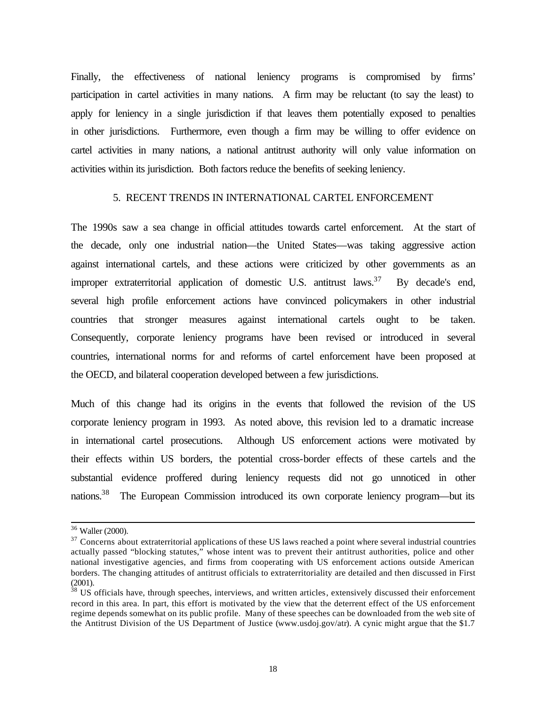Finally, the effectiveness of national leniency programs is compromised by firms' participation in cartel activities in many nations. A firm may be reluctant (to say the least) to apply for leniency in a single jurisdiction if that leaves them potentially exposed to penalties in other jurisdictions. Furthermore, even though a firm may be willing to offer evidence on cartel activities in many nations, a national antitrust authority will only value information on activities within its jurisdiction. Both factors reduce the benefits of seeking leniency.

## 5. RECENT TRENDS IN INTERNATIONAL CARTEL ENFORCEMENT

The 1990s saw a sea change in official attitudes towards cartel enforcement. At the start of the decade, only one industrial nation—the United States—was taking aggressive action against international cartels, and these actions were criticized by other governments as an improper extraterritorial application of domestic U.S. antitrust laws.<sup>37</sup> By decade's end, several high profile enforcement actions have convinced policymakers in other industrial countries that stronger measures against international cartels ought to be taken. Consequently, corporate leniency programs have been revised or introduced in several countries, international norms for and reforms of cartel enforcement have been proposed at the OECD, and bilateral cooperation developed between a few jurisdictions.

Much of this change had its origins in the events that followed the revision of the US corporate leniency program in 1993. As noted above, this revision led to a dramatic increase in international cartel prosecutions. Although US enforcement actions were motivated by their effects within US borders, the potential cross-border effects of these cartels and the substantial evidence proffered during leniency requests did not go unnoticed in other nations.<sup>38</sup> The European Commission introduced its own corporate leniency program—but its

<sup>36</sup> Waller (2000).

 $37$  Concerns about extraterritorial applications of these US laws reached a point where several industrial countries actually passed "blocking statutes," whose intent was to prevent their antitrust authorities, police and other national investigative agencies, and firms from cooperating with US enforcement actions outside American borders. The changing attitudes of antitrust officials to extraterritoriality are detailed and then discussed in First (2001).

 $38$  US officials have, through speeches, interviews, and written articles, extensively discussed their enforcement record in this area. In part, this effort is motivated by the view that the deterrent effect of the US enforcement regime depends somewhat on its public profile. Many of these speeches can be downloaded from the web site of the Antitrust Division of the US Department of Justice (www.usdoj.gov/atr). A cynic might argue that the \$1.7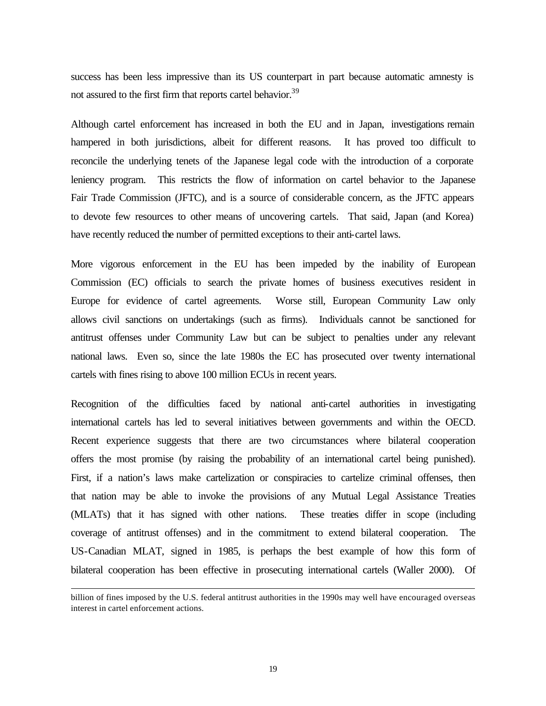success has been less impressive than its US counterpart in part because automatic amnesty is not assured to the first firm that reports cartel behavior.<sup>39</sup>

Although cartel enforcement has increased in both the EU and in Japan, investigations remain hampered in both jurisdictions, albeit for different reasons. It has proved too difficult to reconcile the underlying tenets of the Japanese legal code with the introduction of a corporate leniency program. This restricts the flow of information on cartel behavior to the Japanese Fair Trade Commission (JFTC), and is a source of considerable concern, as the JFTC appears to devote few resources to other means of uncovering cartels. That said, Japan (and Korea) have recently reduced the number of permitted exceptions to their anti-cartel laws.

More vigorous enforcement in the EU has been impeded by the inability of European Commission (EC) officials to search the private homes of business executives resident in Europe for evidence of cartel agreements. Worse still, European Community Law only allows civil sanctions on undertakings (such as firms). Individuals cannot be sanctioned for antitrust offenses under Community Law but can be subject to penalties under any relevant national laws. Even so, since the late 1980s the EC has prosecuted over twenty international cartels with fines rising to above 100 million ECUs in recent years.

Recognition of the difficulties faced by national anti-cartel authorities in investigating international cartels has led to several initiatives between governments and within the OECD. Recent experience suggests that there are two circumstances where bilateral cooperation offers the most promise (by raising the probability of an international cartel being punished). First, if a nation's laws make cartelization or conspiracies to cartelize criminal offenses, then that nation may be able to invoke the provisions of any Mutual Legal Assistance Treaties (MLATs) that it has signed with other nations. These treaties differ in scope (including coverage of antitrust offenses) and in the commitment to extend bilateral cooperation. The US-Canadian MLAT, signed in 1985, is perhaps the best example of how this form of bilateral cooperation has been effective in prosecuting international cartels (Waller 2000). Of

billion of fines imposed by the U.S. federal antitrust authorities in the 1990s may well have encouraged overseas interest in cartel enforcement actions.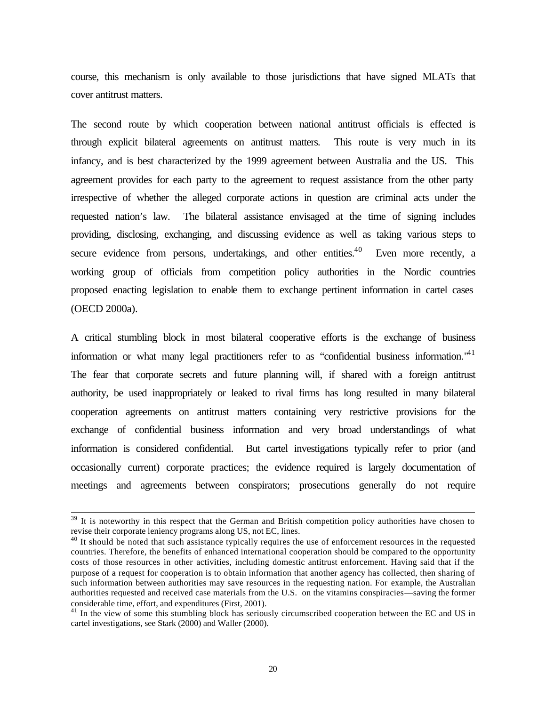course, this mechanism is only available to those jurisdictions that have signed MLATs that cover antitrust matters.

The second route by which cooperation between national antitrust officials is effected is through explicit bilateral agreements on antitrust matters. This route is very much in its infancy, and is best characterized by the 1999 agreement between Australia and the US. This agreement provides for each party to the agreement to request assistance from the other party irrespective of whether the alleged corporate actions in question are criminal acts under the requested nation's law. The bilateral assistance envisaged at the time of signing includes providing, disclosing, exchanging, and discussing evidence as well as taking various steps to secure evidence from persons, undertakings, and other entities.<sup>40</sup> Even more recently, a working group of officials from competition policy authorities in the Nordic countries proposed enacting legislation to enable them to exchange pertinent information in cartel cases (OECD 2000a).

A critical stumbling block in most bilateral cooperative efforts is the exchange of business information or what many legal practitioners refer to as "confidential business information."<sup>41</sup> The fear that corporate secrets and future planning will, if shared with a foreign antitrust authority, be used inappropriately or leaked to rival firms has long resulted in many bilateral cooperation agreements on antitrust matters containing very restrictive provisions for the exchange of confidential business information and very broad understandings of what information is considered confidential. But cartel investigations typically refer to prior (and occasionally current) corporate practices; the evidence required is largely documentation of meetings and agreements between conspirators; prosecutions generally do not require

 $39$  It is noteworthy in this respect that the German and British competition policy authorities have chosen to revise their corporate leniency programs along US, not EC, lines.

<sup>&</sup>lt;sup>40</sup> It should be noted that such assistance typically requires the use of enforcement resources in the requested countries. Therefore, the benefits of enhanced international cooperation should be compared to the opportunity costs of those resources in other activities, including domestic antitrust enforcement. Having said that if the purpose of a request for cooperation is to obtain information that another agency has collected, then sharing of such information between authorities may save resources in the requesting nation. For example, the Australian authorities requested and received case materials from the U.S. on the vitamins conspiracies—saving the former considerable time, effort, and expenditures (First, 2001).

<sup>&</sup>lt;sup>41</sup> In the view of some this stumbling block has seriously circumscribed cooperation between the EC and US in cartel investigations, see Stark (2000) and Waller (2000).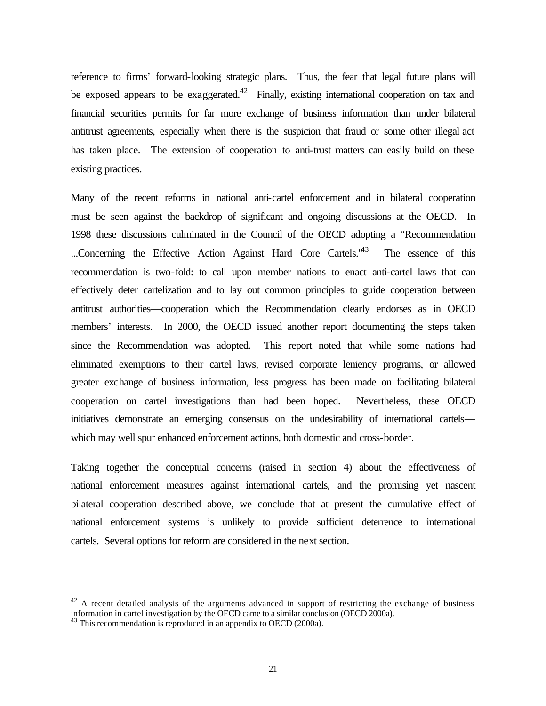reference to firms' forward-looking strategic plans. Thus, the fear that legal future plans will be exposed appears to be exaggerated.<sup>42</sup> Finally, existing international cooperation on tax and financial securities permits for far more exchange of business information than under bilateral antitrust agreements, especially when there is the suspicion that fraud or some other illegal act has taken place. The extension of cooperation to anti-trust matters can easily build on these existing practices.

Many of the recent reforms in national anti-cartel enforcement and in bilateral cooperation must be seen against the backdrop of significant and ongoing discussions at the OECD. In 1998 these discussions culminated in the Council of the OECD adopting a "Recommendation ...Concerning the Effective Action Against Hard Core Cartels."<sup>43</sup> The essence of this recommendation is two-fold: to call upon member nations to enact anti-cartel laws that can effectively deter cartelization and to lay out common principles to guide cooperation between antitrust authorities—cooperation which the Recommendation clearly endorses as in OECD members' interests. In 2000, the OECD issued another report documenting the steps taken since the Recommendation was adopted. This report noted that while some nations had eliminated exemptions to their cartel laws, revised corporate leniency programs, or allowed greater exchange of business information, less progress has been made on facilitating bilateral cooperation on cartel investigations than had been hoped. Nevertheless, these OECD initiatives demonstrate an emerging consensus on the undesirability of international cartels which may well spur enhanced enforcement actions, both domestic and cross-border.

Taking together the conceptual concerns (raised in section 4) about the effectiveness of national enforcement measures against international cartels, and the promising yet nascent bilateral cooperation described above, we conclude that at present the cumulative effect of national enforcement systems is unlikely to provide sufficient deterrence to international cartels. Several options for reform are considered in the next section.

 $42$  A recent detailed analysis of the arguments advanced in support of restricting the exchange of business information in cartel investigation by the OECD came to a similar conclusion (OECD 2000a).

<sup>&</sup>lt;sup>43</sup> This recommendation is reproduced in an appendix to OECD (2000a).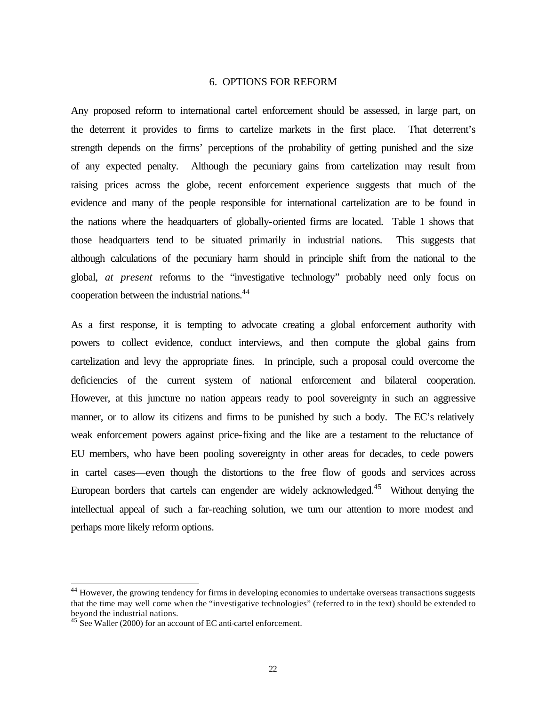#### 6. OPTIONS FOR REFORM

Any proposed reform to international cartel enforcement should be assessed, in large part, on the deterrent it provides to firms to cartelize markets in the first place. That deterrent's strength depends on the firms' perceptions of the probability of getting punished and the size of any expected penalty. Although the pecuniary gains from cartelization may result from raising prices across the globe, recent enforcement experience suggests that much of the evidence and many of the people responsible for international cartelization are to be found in the nations where the headquarters of globally-oriented firms are located. Table 1 shows that those headquarters tend to be situated primarily in industrial nations. This suggests that although calculations of the pecuniary harm should in principle shift from the national to the global, *at present* reforms to the "investigative technology" probably need only focus on cooperation between the industrial nations.<sup>44</sup>

As a first response, it is tempting to advocate creating a global enforcement authority with powers to collect evidence, conduct interviews, and then compute the global gains from cartelization and levy the appropriate fines. In principle, such a proposal could overcome the deficiencies of the current system of national enforcement and bilateral cooperation. However, at this juncture no nation appears ready to pool sovereignty in such an aggressive manner, or to allow its citizens and firms to be punished by such a body. The EC's relatively weak enforcement powers against price-fixing and the like are a testament to the reluctance of EU members, who have been pooling sovereignty in other areas for decades, to cede powers in cartel cases—even though the distortions to the free flow of goods and services across European borders that cartels can engender are widely acknowledged.<sup>45</sup> Without denying the intellectual appeal of such a far-reaching solution, we turn our attention to more modest and perhaps more likely reform options.

<sup>&</sup>lt;sup>44</sup> However, the growing tendency for firms in developing economies to undertake overseas transactions suggests that the time may well come when the "investigative technologies" (referred to in the text) should be extended to beyond the industrial nations.

<sup>&</sup>lt;sup>45</sup> See Waller (2000) for an account of EC anti-cartel enforcement.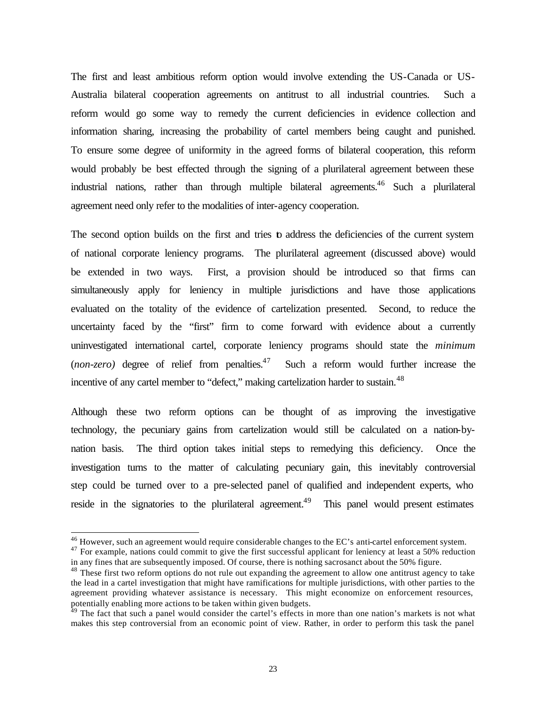The first and least ambitious reform option would involve extending the US-Canada or US-Australia bilateral cooperation agreements on antitrust to all industrial countries. Such a reform would go some way to remedy the current deficiencies in evidence collection and information sharing, increasing the probability of cartel members being caught and punished. To ensure some degree of uniformity in the agreed forms of bilateral cooperation, this reform would probably be best effected through the signing of a plurilateral agreement between these industrial nations, rather than through multiple bilateral agreements.<sup>46</sup> Such a plurilateral agreement need only refer to the modalities of inter-agency cooperation.

The second option builds on the first and tries to address the deficiencies of the current system of national corporate leniency programs. The plurilateral agreement (discussed above) would be extended in two ways. First, a provision should be introduced so that firms can simultaneously apply for leniency in multiple jurisdictions and have those applications evaluated on the totality of the evidence of cartelization presented. Second, to reduce the uncertainty faced by the "first" firm to come forward with evidence about a currently uninvestigated international cartel, corporate leniency programs should state the *minimum*  $(non-zero)$  degree of relief from penalties.<sup>47</sup> Such a reform would further increase the incentive of any cartel member to "defect," making cartelization harder to sustain.<sup>48</sup>

Although these two reform options can be thought of as improving the investigative technology, the pecuniary gains from cartelization would still be calculated on a nation-bynation basis. The third option takes initial steps to remedying this deficiency. Once the investigation turns to the matter of calculating pecuniary gain, this inevitably controversial step could be turned over to a pre-selected panel of qualified and independent experts, who reside in the signatories to the plurilateral agreement.<sup>49</sup> This panel would present estimates

 $^{46}$  However, such an agreement would require considerable changes to the EC's anti-cartel enforcement system.

 $47$  For example, nations could commit to give the first successful applicant for leniency at least a 50% reduction in any fines that are subsequently imposed. Of course, there is nothing sacrosanct about the 50% figure.

<sup>&</sup>lt;sup>48</sup> These first two reform options do not rule out expanding the agreement to allow one antitrust agency to take the lead in a cartel investigation that might have ramifications for multiple jurisdictions, with other parties to the agreement providing whatever assistance is necessary. This might economize on enforcement resources, potentially enabling more actions to be taken within given budgets.

<sup>&</sup>lt;sup>9</sup> The fact that such a panel would consider the cartel's effects in more than one nation's markets is not what makes this step controversial from an economic point of view. Rather, in order to perform this task the panel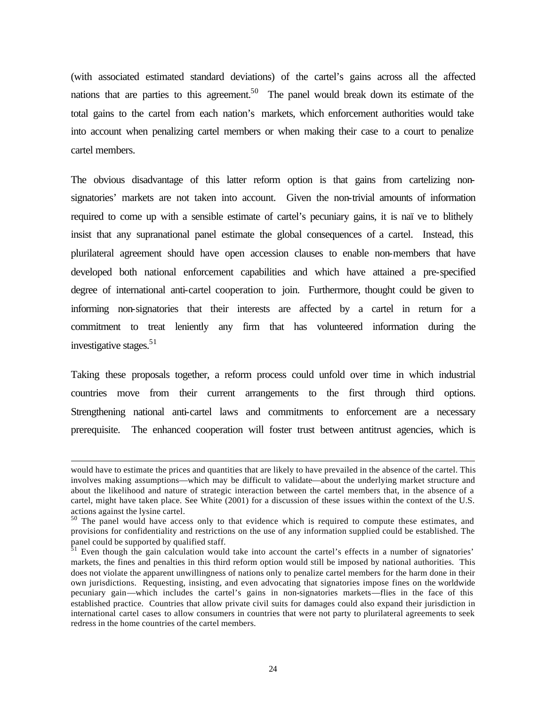(with associated estimated standard deviations) of the cartel's gains across all the affected nations that are parties to this agreement.<sup>50</sup> The panel would break down its estimate of the total gains to the cartel from each nation's markets, which enforcement authorities would take into account when penalizing cartel members or when making their case to a court to penalize cartel members.

The obvious disadvantage of this latter reform option is that gains from cartelizing nonsignatories' markets are not taken into account. Given the non-trivial amounts of information required to come up with a sensible estimate of cartel's pecuniary gains, it is naïve to blithely insist that any supranational panel estimate the global consequences of a cartel. Instead, this plurilateral agreement should have open accession clauses to enable non-members that have developed both national enforcement capabilities and which have attained a pre-specified degree of international anti-cartel cooperation to join. Furthermore, thought could be given to informing non-signatories that their interests are affected by a cartel in return for a commitment to treat leniently any firm that has volunteered information during the investigative stages. $51$ 

Taking these proposals together, a reform process could unfold over time in which industrial countries move from their current arrangements to the first through third options. Strengthening national anti-cartel laws and commitments to enforcement are a necessary prerequisite. The enhanced cooperation will foster trust between antitrust agencies, which is

would have to estimate the prices and quantities that are likely to have prevailed in the absence of the cartel. This involves making assumptions—which may be difficult to validate—about the underlying market structure and about the likelihood and nature of strategic interaction between the cartel members that, in the absence of a cartel, might have taken place. See White (2001) for a discussion of these issues within the context of the U.S. actions against the lysine cartel.

<sup>&</sup>lt;sup>50</sup> The panel would have access only to that evidence which is required to compute these estimates, and provisions for confidentiality and restrictions on the use of any information supplied could be established. The panel could be supported by qualified staff.

 $51$  Even though the gain calculation would take into account the cartel's effects in a number of signatories' markets, the fines and penalties in this third reform option would still be imposed by national authorities. This does not violate the apparent unwillingness of nations only to penalize cartel members for the harm done in their own jurisdictions. Requesting, insisting, and even advocating that signatories impose fines on the worldwide pecuniary gain—which includes the cartel's gains in non-signatories markets—flies in the face of this established practice. Countries that allow private civil suits for damages could also expand their jurisdiction in international cartel cases to allow consumers in countries that were not party to plurilateral agreements to seek redress in the home countries of the cartel members.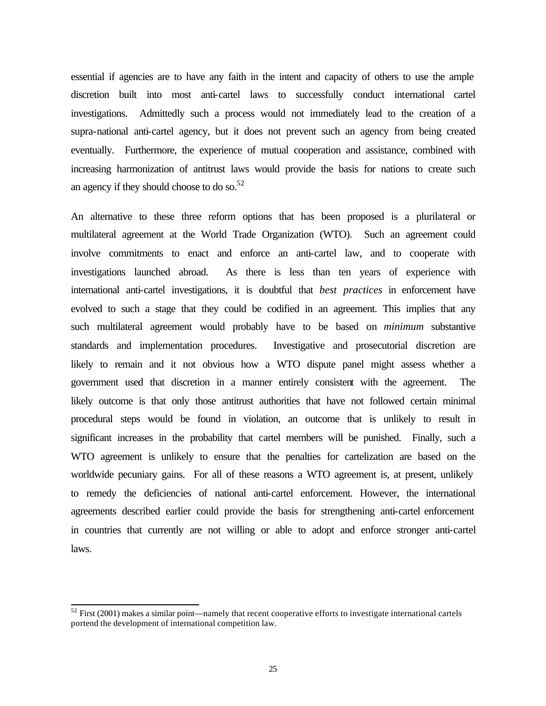essential if agencies are to have any faith in the intent and capacity of others to use the ample discretion built into most anti-cartel laws to successfully conduct international cartel investigations. Admittedly such a process would not immediately lead to the creation of a supra-national anti-cartel agency, but it does not prevent such an agency from being created eventually. Furthermore, the experience of mutual cooperation and assistance, combined with increasing harmonization of antitrust laws would provide the basis for nations to create such an agency if they should choose to do so. $52$ 

An alternative to these three reform options that has been proposed is a plurilateral or multilateral agreement at the World Trade Organization (WTO). Such an agreement could involve commitments to enact and enforce an anti-cartel law, and to cooperate with investigations launched abroad. As there is less than ten years of experience with international anti-cartel investigations, it is doubtful that *best practices* in enforcement have evolved to such a stage that they could be codified in an agreement. This implies that any such multilateral agreement would probably have to be based on *minimum* substantive standards and implementation procedures. Investigative and prosecutorial discretion are likely to remain and it not obvious how a WTO dispute panel might assess whether a government used that discretion in a manner entirely consistent with the agreement. The likely outcome is that only those antitrust authorities that have not followed certain minimal procedural steps would be found in violation, an outcome that is unlikely to result in significant increases in the probability that cartel members will be punished. Finally, such a WTO agreement is unlikely to ensure that the penalties for cartelization are based on the worldwide pecuniary gains. For all of these reasons a WTO agreement is, at present, unlikely to remedy the deficiencies of national anti-cartel enforcement. However, the international agreements described earlier could provide the basis for strengthening anti-cartel enforcement in countries that currently are not willing or able to adopt and enforce stronger anti-cartel laws.

 $52$  First (2001) makes a similar point—namely that recent cooperative efforts to investigate international cartels portend the development of international competition law.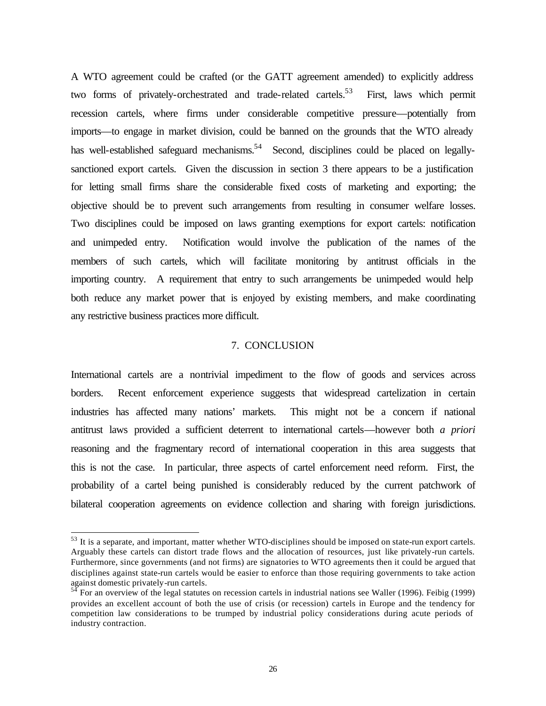A WTO agreement could be crafted (or the GATT agreement amended) to explicitly address two forms of privately-orchestrated and trade-related cartels.<sup>53</sup> First, laws which permit recession cartels, where firms under considerable competitive pressure—potentially from imports—to engage in market division, could be banned on the grounds that the WTO already has well-established safeguard mechanisms.<sup>54</sup> Second, disciplines could be placed on legallysanctioned export cartels. Given the discussion in section 3 there appears to be a justification for letting small firms share the considerable fixed costs of marketing and exporting; the objective should be to prevent such arrangements from resulting in consumer welfare losses. Two disciplines could be imposed on laws granting exemptions for export cartels: notification and unimpeded entry. Notification would involve the publication of the names of the members of such cartels, which will facilitate monitoring by antitrust officials in the importing country. A requirement that entry to such arrangements be unimpeded would help both reduce any market power that is enjoyed by existing members, and make coordinating any restrictive business practices more difficult.

#### 7. CONCLUSION

International cartels are a nontrivial impediment to the flow of goods and services across borders. Recent enforcement experience suggests that widespread cartelization in certain industries has affected many nations' markets. This might not be a concern if national antitrust laws provided a sufficient deterrent to international cartels—however both *a priori* reasoning and the fragmentary record of international cooperation in this area suggests that this is not the case. In particular, three aspects of cartel enforcement need reform. First, the probability of a cartel being punished is considerably reduced by the current patchwork of bilateral cooperation agreements on evidence collection and sharing with foreign jurisdictions.

 $53$  It is a separate, and important, matter whether WTO-disciplines should be imposed on state-run export cartels. Arguably these cartels can distort trade flows and the allocation of resources, just like privately-run cartels. Furthermore, since governments (and not firms) are signatories to WTO agreements then it could be argued that disciplines against state-run cartels would be easier to enforce than those requiring governments to take action against domestic privately-run cartels.

 $54$  For an overview of the legal statutes on recession cartels in industrial nations see Waller (1996). Feibig (1999) provides an excellent account of both the use of crisis (or recession) cartels in Europe and the tendency for competition law considerations to be trumped by industrial policy considerations during acute periods of industry contraction.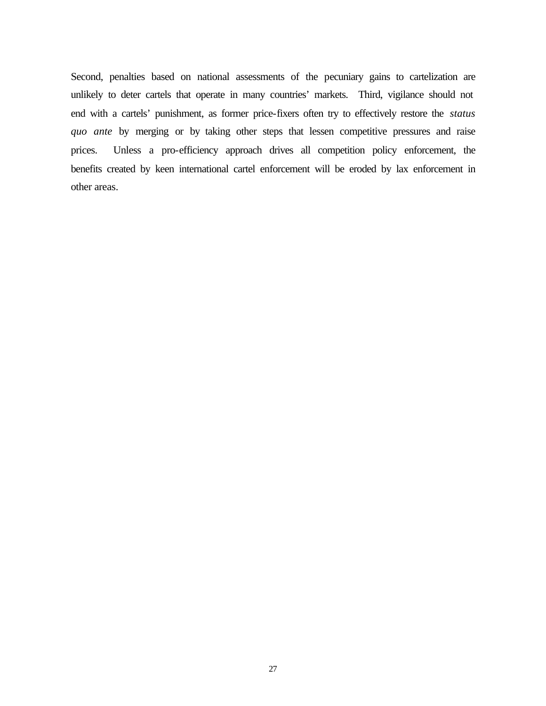Second, penalties based on national assessments of the pecuniary gains to cartelization are unlikely to deter cartels that operate in many countries' markets. Third, vigilance should not end with a cartels' punishment, as former price-fixers often try to effectively restore the *status quo ante* by merging or by taking other steps that lessen competitive pressures and raise prices. Unless a pro-efficiency approach drives all competition policy enforcement, the benefits created by keen international cartel enforcement will be eroded by lax enforcement in other areas.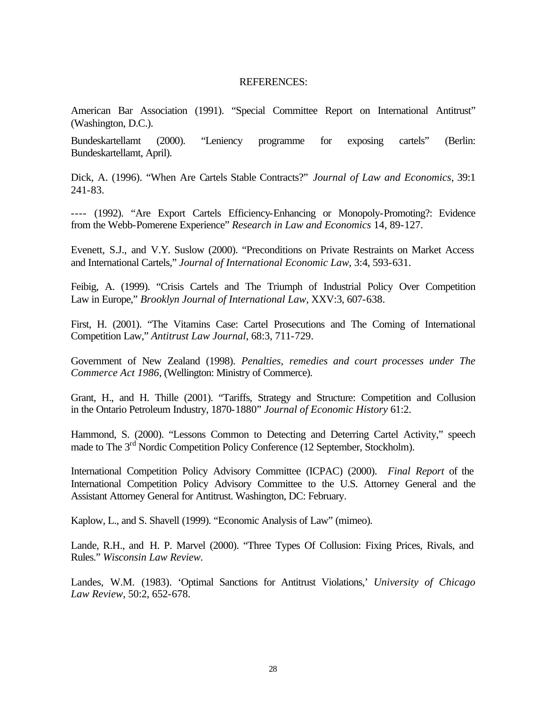#### REFERENCES:

American Bar Association (1991). "Special Committee Report on International Antitrust" (Washington, D.C.).

Bundeskartellamt (2000). "Leniency programme for exposing cartels" (Berlin: Bundeskartellamt, April).

Dick, A. (1996). "When Are Cartels Stable Contracts?" *Journal of Law and Economics*, 39:1 241-83.

---- (1992). "Are Export Cartels Efficiency-Enhancing or Monopoly-Promoting?: Evidence from the Webb-Pomerene Experience" *Research in Law and Economics* 14, 89-127.

Evenett, S.J., and V.Y. Suslow (2000). "Preconditions on Private Restraints on Market Access and International Cartels," *Journal of International Economic Law*, 3:4, 593-631.

Feibig, A. (1999). "Crisis Cartels and The Triumph of Industrial Policy Over Competition Law in Europe," *Brooklyn Journal of International Law*, XXV:3, 607-638.

First, H. (2001). "The Vitamins Case: Cartel Prosecutions and The Coming of International Competition Law," *Antitrust Law Journal*, 68:3, 711-729.

Government of New Zealand (1998). *Penalties, remedies and court processes under The Commerce Act 1986*, (Wellington: Ministry of Commerce).

Grant, H., and H. Thille (2001). "Tariffs, Strategy and Structure: Competition and Collusion in the Ontario Petroleum Industry, 1870-1880" *Journal of Economic History* 61:2.

Hammond, S. (2000). "Lessons Common to Detecting and Deterring Cartel Activity," speech made to The 3<sup>rd</sup> Nordic Competition Policy Conference (12 September, Stockholm).

International Competition Policy Advisory Committee (ICPAC) (2000). *Final Report* of the International Competition Policy Advisory Committee to the U.S. Attorney General and the Assistant Attorney General for Antitrust. Washington, DC: February.

Kaplow, L., and S. Shavell (1999). "Economic Analysis of Law" (mimeo).

Lande, R.H., and H. P. Marvel (2000). "Three Types Of Collusion: Fixing Prices, Rivals, and Rules." *Wisconsin Law Review.*

Landes, W.M. (1983). 'Optimal Sanctions for Antitrust Violations,' *University of Chicago Law Review*, 50:2, 652-678.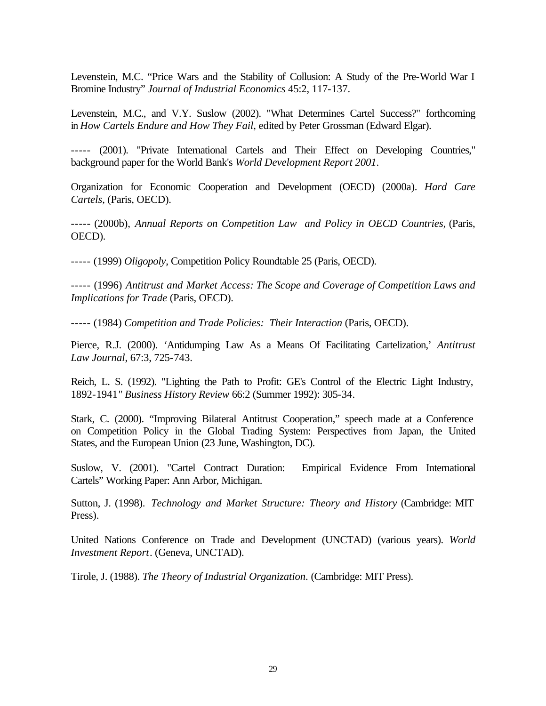Levenstein, M.C. "Price Wars and the Stability of Collusion: A Study of the Pre-World War I Bromine Industry" *Journal of Industrial Economics* 45:2, 117-137.

Levenstein, M.C., and V.Y. Suslow (2002). "What Determines Cartel Success?" forthcoming in *How Cartels Endure and How They Fail*, edited by Peter Grossman (Edward Elgar).

----- (2001). "Private International Cartels and Their Effect on Developing Countries," background paper for the World Bank's *World Development Report 2001*.

Organization for Economic Cooperation and Development (OECD) (2000a). *Hard Care Cartels*, (Paris, OECD).

----- (2000b), *Annual Reports on Competition Law and Policy in OECD Countries,* (Paris, OECD).

----- (1999) *Oligopoly*, Competition Policy Roundtable 25 (Paris, OECD).

----- (1996) *Antitrust and Market Access: The Scope and Coverage of Competition Laws and Implications for Trade* (Paris, OECD).

----- (1984) *Competition and Trade Policies: Their Interaction* (Paris, OECD).

Pierce, R.J. (2000). 'Antidumping Law As a Means Of Facilitating Cartelization,' *Antitrust Law Journal*, 67:3, 725-743.

Reich, L. S. (1992). "Lighting the Path to Profit: GE's Control of the Electric Light Industry, 1892-1941*" Business History Review* 66:2 (Summer 1992): 305-34.

Stark, C. (2000). "Improving Bilateral Antitrust Cooperation," speech made at a Conference on Competition Policy in the Global Trading System: Perspectives from Japan, the United States, and the European Union (23 June, Washington, DC).

Suslow, V. (2001). "Cartel Contract Duration: Empirical Evidence From International Cartels" Working Paper: Ann Arbor, Michigan.

Sutton, J. (1998). *Technology and Market Structure: Theory and History* (Cambridge: MIT Press).

United Nations Conference on Trade and Development (UNCTAD) (various years). *World Investment Report*. (Geneva, UNCTAD).

Tirole, J. (1988). *The Theory of Industrial Organization*. (Cambridge: MIT Press).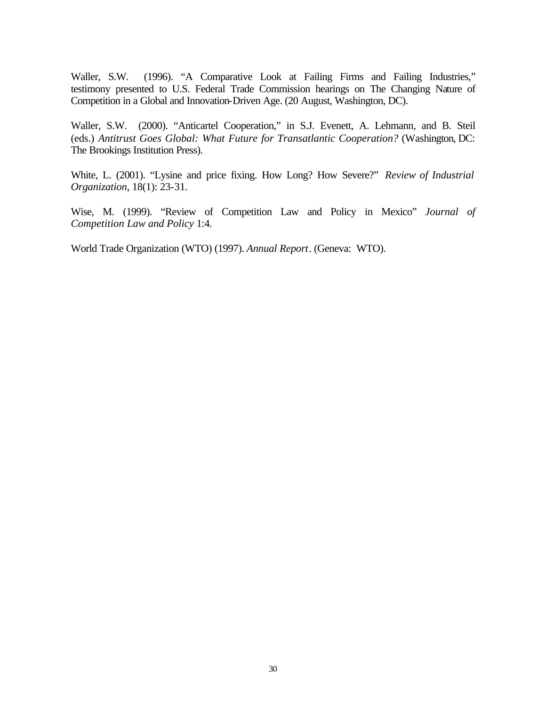Waller, S.W. (1996). "A Comparative Look at Failing Firms and Failing Industries," testimony presented to U.S. Federal Trade Commission hearings on The Changing Nature of Competition in a Global and Innovation-Driven Age. (20 August, Washington, DC).

Waller, S.W. (2000). "Anticartel Cooperation," in S.J. Evenett, A. Lehmann, and B. Steil (eds.) *Antitrust Goes Global: What Future for Transatlantic Cooperation?* (Washington, DC: The Brookings Institution Press).

White, L. (2001). "Lysine and price fixing. How Long? How Severe?" *Review of Industrial Organization*, 18(1): 23-31.

Wise, M. (1999). "Review of Competition Law and Policy in Mexico" *Journal of Competition Law and Policy* 1:4.

World Trade Organization (WTO) (1997). *Annual Report*. (Geneva: WTO).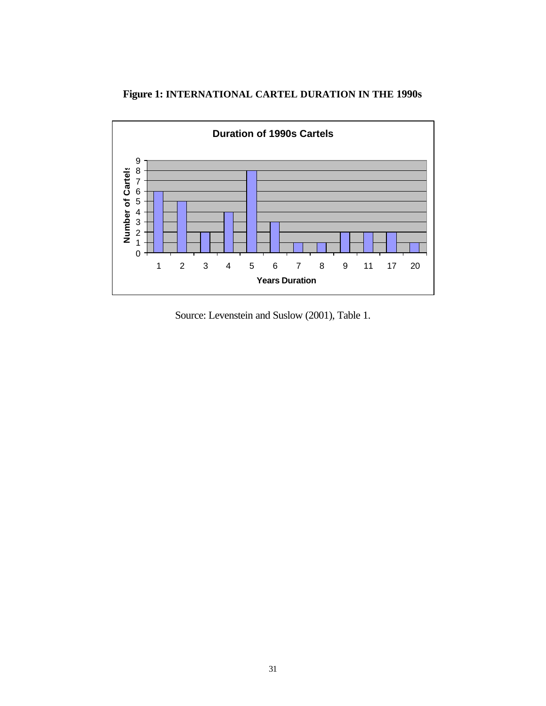# **Figure 1: INTERNATIONAL CARTEL DURATION IN THE 1990s**



Source: Levenstein and Suslow (2001), Table 1.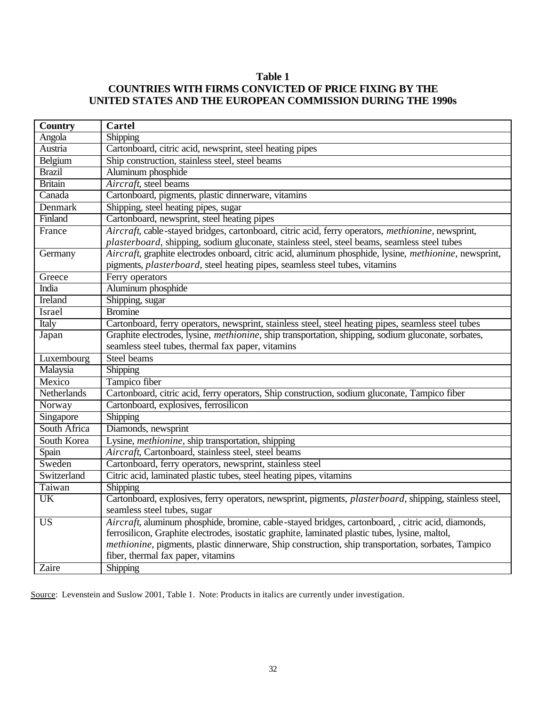## **Table 1 COUNTRIES WITH FIRMS CONVICTED OF PRICE FIXING BY THE UNITED STATES AND THE EUROPEAN COMMISSION DURING THE 1990s**

| <b>Country</b>  | Cartel                                                                                                      |  |  |  |
|-----------------|-------------------------------------------------------------------------------------------------------------|--|--|--|
| Angola          | Shipping                                                                                                    |  |  |  |
| Austria         | Cartonboard, citric acid, newsprint, steel heating pipes                                                    |  |  |  |
| Belgium         | Ship construction, stainless steel, steel beams                                                             |  |  |  |
| <b>Brazil</b>   | Aluminum phosphide                                                                                          |  |  |  |
| <b>Britain</b>  | Aircraft, steel beams                                                                                       |  |  |  |
| Canada          | Cartonboard, pigments, plastic dinnerware, vitamins                                                         |  |  |  |
| Denmark         | Shipping, steel heating pipes, sugar                                                                        |  |  |  |
| Finland         | Cartonboard, newsprint, steel heating pipes                                                                 |  |  |  |
| France          | Aircraft, cable-stayed bridges, cartonboard, citric acid, ferry operators, methionine, newsprint,           |  |  |  |
|                 | plasterboard, shipping, sodium gluconate, stainless steel, steel beams, seamless steel tubes                |  |  |  |
| Germany         | Aircraft, graphite electrodes onboard, citric acid, aluminum phosphide, lysine, methionine, newsprint,      |  |  |  |
|                 | pigments, plasterboard, steel heating pipes, seamless steel tubes, vitamins                                 |  |  |  |
| Greece          | Ferry operators                                                                                             |  |  |  |
| India           | Aluminum phosphide                                                                                          |  |  |  |
| Ireland         | Shipping, sugar                                                                                             |  |  |  |
| Israel          | <b>Bromine</b>                                                                                              |  |  |  |
| Italy           | Cartonboard, ferry operators, newsprint, stainless steel, steel heating pipes, seamless steel tubes         |  |  |  |
| Japan           | Graphite electrodes, lysine, <i>methionine</i> , ship transportation, shipping, sodium gluconate, sorbates, |  |  |  |
|                 | seamless steel tubes, thermal fax paper, vitamins                                                           |  |  |  |
| Luxembourg      | <b>Steel beams</b>                                                                                          |  |  |  |
| Malaysia        | Shipping                                                                                                    |  |  |  |
| Mexico          | Tampico fiber                                                                                               |  |  |  |
| Netherlands     | Cartonboard, citric acid, ferry operators, Ship construction, sodium gluconate, Tampico fiber               |  |  |  |
| Norway          | Cartonboard, explosives, ferrosilicon                                                                       |  |  |  |
| Singapore       | Shipping                                                                                                    |  |  |  |
| South Africa    | Diamonds, newsprint                                                                                         |  |  |  |
| South Korea     | Lysine, methionine, ship transportation, shipping                                                           |  |  |  |
| Spain           | Aircraft, Cartonboard, stainless steel, steel beams                                                         |  |  |  |
| Sweden          | Cartonboard, ferry operators, newsprint, stainless steel                                                    |  |  |  |
| Switzerland     | Citric acid, laminated plastic tubes, steel heating pipes, vitamins                                         |  |  |  |
| Taiwan          | Shipping                                                                                                    |  |  |  |
| <b>UK</b>       | Cartonboard, explosives, ferry operators, newsprint, pigments, plasterboard, shipping, stainless steel,     |  |  |  |
|                 | seamless steel tubes, sugar                                                                                 |  |  |  |
| $\overline{US}$ | Aircraft, aluminum phosphide, bromine, cable-stayed bridges, cartonboard, , citric acid, diamonds,          |  |  |  |
|                 | ferrosilicon, Graphite electrodes, isostatic graphite, laminated plastic tubes, lysine, maltol,             |  |  |  |
|                 | methionine, pigments, plastic dinnerware, Ship construction, ship transportation, sorbates, Tampico         |  |  |  |
|                 | fiber, thermal fax paper, vitamins                                                                          |  |  |  |
| Zaire           | Shipping                                                                                                    |  |  |  |

Source: Levenstein and Suslow 2001, Table 1. Note: Products in italics are currently under investigation.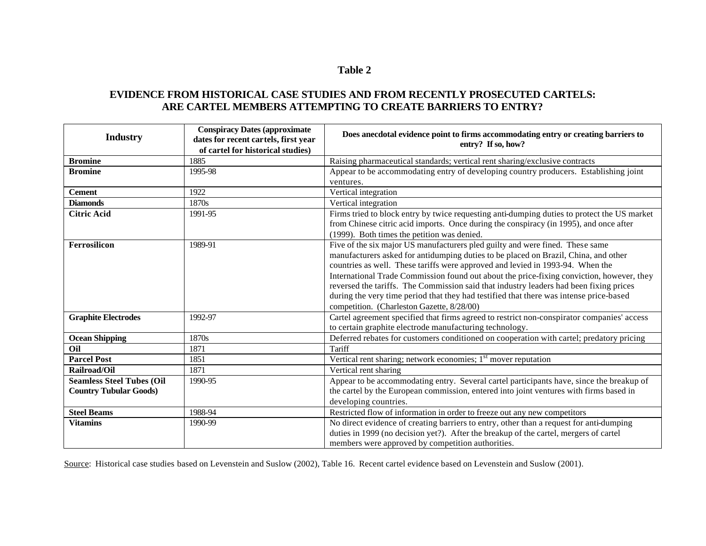# **Table 2**

## **EVIDENCE FROM HISTORICAL CASE STUDIES AND FROM RECENTLY PROSECUTED CARTELS: ARE CARTEL MEMBERS ATTEMPTING TO CREATE BARRIERS TO ENTRY?**

| <b>Industry</b>                                                                                          | <b>Conspiracy Dates (approximate</b><br>dates for recent cartels, first year | Does anecdotal evidence point to firms accommodating entry or creating barriers to<br>entry? If so, how? |  |
|----------------------------------------------------------------------------------------------------------|------------------------------------------------------------------------------|----------------------------------------------------------------------------------------------------------|--|
|                                                                                                          | of cartel for historical studies)                                            |                                                                                                          |  |
| 1885<br><b>Bromine</b>                                                                                   |                                                                              | Raising pharmaceutical standards; vertical rent sharing/exclusive contracts                              |  |
| <b>Bromine</b><br>1995-98                                                                                |                                                                              | Appear to be accommodating entry of developing country producers. Establishing joint                     |  |
|                                                                                                          |                                                                              | ventures.                                                                                                |  |
| Vertical integration<br>1922<br><b>Cement</b>                                                            |                                                                              |                                                                                                          |  |
| <b>Diamonds</b>                                                                                          | 1870s                                                                        | Vertical integration                                                                                     |  |
| <b>Citric Acid</b><br>1991-95                                                                            |                                                                              | Firms tried to block entry by twice requesting anti-dumping duties to protect the US market              |  |
|                                                                                                          |                                                                              | from Chinese citric acid imports. Once during the conspiracy (in 1995), and once after                   |  |
|                                                                                                          |                                                                              | (1999). Both times the petition was denied.                                                              |  |
| <b>Ferrosilicon</b>                                                                                      | 1989-91                                                                      | Five of the six major US manufacturers pled guilty and were fined. These same                            |  |
|                                                                                                          |                                                                              | manufacturers asked for antidumping duties to be placed on Brazil, China, and other                      |  |
|                                                                                                          |                                                                              | countries as well. These tariffs were approved and levied in 1993-94. When the                           |  |
|                                                                                                          |                                                                              | International Trade Commission found out about the price-fixing conviction, however, they                |  |
|                                                                                                          |                                                                              | reversed the tariffs. The Commission said that industry leaders had been fixing prices                   |  |
|                                                                                                          |                                                                              | during the very time period that they had testified that there was intense price-based                   |  |
|                                                                                                          |                                                                              | competition. (Charleston Gazette, 8/28/00)                                                               |  |
| <b>Graphite Electrodes</b>                                                                               | 1992-97                                                                      | Cartel agreement specified that firms agreed to restrict non-conspirator companies' access               |  |
|                                                                                                          |                                                                              | to certain graphite electrode manufacturing technology.                                                  |  |
| <b>Ocean Shipping</b>                                                                                    | 1870s                                                                        | Deferred rebates for customers conditioned on cooperation with cartel; predatory pricing                 |  |
| Oil                                                                                                      | 1871                                                                         | Tariff                                                                                                   |  |
| Vertical rent sharing; network economies; 1 <sup>st</sup> mover reputation<br><b>Parcel Post</b><br>1851 |                                                                              |                                                                                                          |  |
| Railroad/Oil<br>1871<br>Vertical rent sharing                                                            |                                                                              |                                                                                                          |  |
| <b>Seamless Steel Tubes (Oil</b>                                                                         | 1990-95                                                                      | Appear to be accommodating entry. Several cartel participants have, since the breakup of                 |  |
| <b>Country Tubular Goods)</b>                                                                            |                                                                              | the cartel by the European commission, entered into joint ventures with firms based in                   |  |
|                                                                                                          |                                                                              | developing countries.                                                                                    |  |
| <b>Steel Beams</b>                                                                                       | 1988-94                                                                      | Restricted flow of information in order to freeze out any new competitors                                |  |
| 1990-99<br><b>Vitamins</b>                                                                               |                                                                              | No direct evidence of creating barriers to entry, other than a request for anti-dumping                  |  |
|                                                                                                          |                                                                              | duties in 1999 (no decision yet?). After the breakup of the cartel, mergers of cartel                    |  |
|                                                                                                          |                                                                              | members were approved by competition authorities.                                                        |  |

Source: Historical case studies based on Levenstein and Suslow (2002), Table 16. Recent cartel evidence based on Levenstein and Suslow (2001).